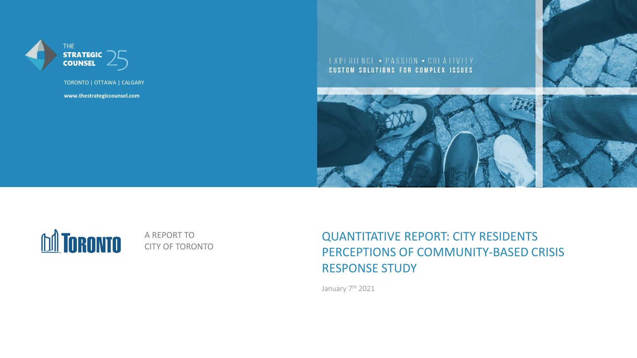

TORONTO | OTTAWA | CALGARY

**www.thestrategiccounsel.com**

EXPERIENCE . PASSION . CREATIVITY CUSTOM SOLUTIONS FOR COMPLEX ISSUES





A REPORT TO CITY OF TORONTO QUANTITATIVE REPORT: CITY RESIDENTS PERCEPTIONS OF COMMUNITY-BASED CRISIS RESPONSE STUDY

January 7<sup>th</sup> 2021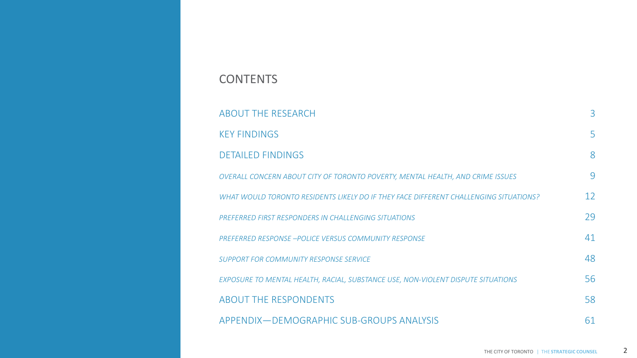| <b>ABOUT THE RESEARCH</b>                                                             | 3                 |
|---------------------------------------------------------------------------------------|-------------------|
| <b>KEY FINDINGS</b>                                                                   | 5                 |
| <b>DETAILED FINDINGS</b>                                                              | 8                 |
| OVERALL CONCERN ABOUT CITY OF TORONTO POVERTY, MENTAL HEALTH, AND CRIME ISSUES        | 9                 |
| WHAT WOULD TORONTO RESIDENTS LIKELY DO IF THEY FACE DIFFERENT CHALLENGING SITUATIONS? | $12 \overline{ }$ |
| PREFERRED FIRST RESPONDERS IN CHALLENGING SITUATIONS                                  | 29                |
| <b>PREFERRED RESPONSE -POLICE VERSUS COMMUNITY RESPONSE</b>                           | 41                |
| SUPPORT FOR COMMUNITY RESPONSE SERVICE                                                | 48                |
| EXPOSURE TO MENTAL HEALTH, RACIAL, SUBSTANCE USE, NON-VIOLENT DISPUTE SITUATIONS      | 56                |
| <b>ABOUT THE RESPONDENTS</b>                                                          | 58                |
| APPENDIX — DEMOGRAPHIC SUB-GROUPS ANALYSIS                                            | 61                |

### **CONTENTS**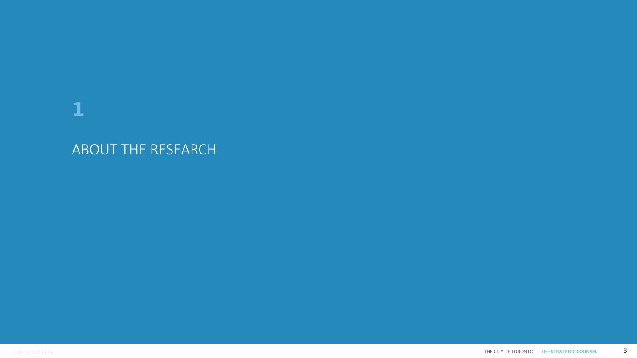# 1

# ABOUT THE RESEARCH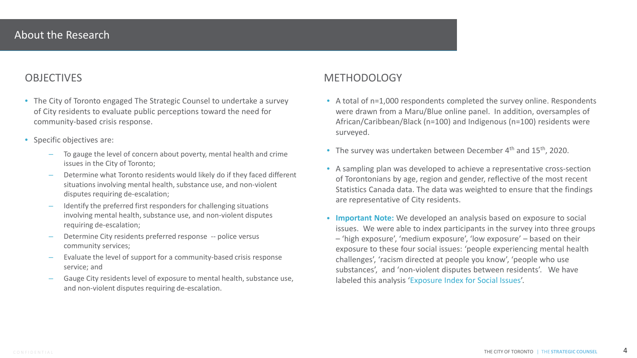- The City of Toronto engaged The Strategic Counsel to undertake a survey of City residents to evaluate public perceptions toward the need for community-based crisis response.
- Specific objectives are:
	- To gauge the level of concern about poverty, mental health and crime issues in the City of Toronto;
	- Determine what Toronto residents would likely do if they faced different situations involving mental health, substance use, and non-violent disputes requiring de-escalation;
	- Identify the preferred first responders for challenging situations involving mental health, substance use, and non-violent disputes requiring de-escalation;
	- Determine City residents preferred response -- police versus community services;
	- Evaluate the level of support for a community-based crisis response service; and
	- Gauge City residents level of exposure to mental health, substance use, and non-violent disputes requiring de-escalation.

### OBJECTIVES METHODOLOGY

- A total of n=1,000 respondents completed the survey online. Respondents were drawn from a Maru/Blue online panel. In addition, oversamples of African/Caribbean/Black (n=100) and Indigenous (n=100) residents were surveyed.
- The survey was undertaken between December 4<sup>th</sup> and 15<sup>th</sup>, 2020.
- A sampling plan was developed to achieve a representative cross-section of Torontonians by age, region and gender, reflective of the most recent Statistics Canada data. The data was weighted to ensure that the findings are representative of City residents.
- **Important Note:** We developed an analysis based on exposure to social issues. We were able to index participants in the survey into three groups – 'high exposure', 'medium exposure', 'low exposure' – based on their exposure to these four social issues: 'people experiencing mental health challenges', 'racism directed at people you know', 'people who use substances', and 'non-violent disputes between residents'. We have labeled this analysis 'Exposure Index for Social Issues'.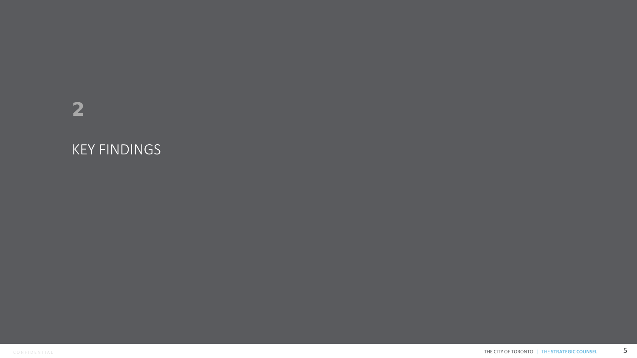# 2

# KEY FINDINGS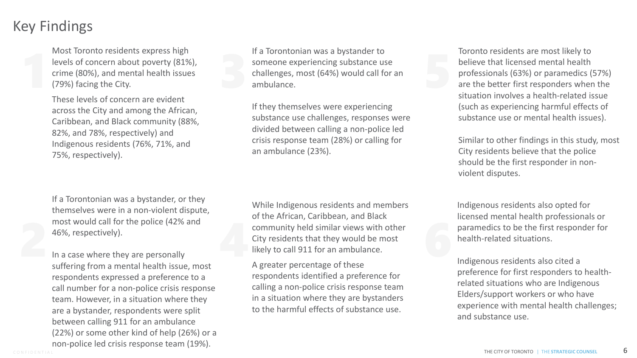## Key Findings

Most Toronto residents express high levels of concern about poverty (81%), crime (80%), and mental health issues (79%) facing the City.

These levels of concern are evident across the City and among the African, Caribbean, and Black community (88%, 82%, and 78%, respectively) and Indigenous residents (76%, 71%, and 75%, respectively).

If a Torontonian was a bystander, or they themselves were in a non-violent dispute, most would call for the police (42% and 46%, respectively).

In a case where they are personally suffering from a mental health issue, most respondents expressed a preference to a call number for a non-police crisis response team. However, in a situation where they are a bystander, respondents were split between calling 911 for an ambulance (22%) or some other kind of help (26%) or a non-police led crisis response team (19%).

If a Torontonian was a bystander to<br>someone experiencing substance use<br>challenges, most (64%) would call for an<br>ambulance. If a Torontonian was a bystander to someone experiencing substance use challenges, most (64%) would call for an ambulance.

> If they themselves were experiencing substance use challenges, responses were divided between calling a non-police led crisis response team (28%) or calling for an ambulance (23%).

most would call for the police (42% and<br>46%, respectively).<br>In a case where they are personally<br>suffering from a montel health issue most.<br>A greater perceptage of these While Indigenous residents and members of the African, Caribbean, and Black community held similar views with other City residents that they would be most likely to call 911 for an ambulance.

A greater percentage of these respondents identified a preference for calling a non-police crisis response team in a situation where they are bystanders to the harmful effects of substance use.

Toronto residents are most likely to believe that licensed mental health professionals (63%) or paramedics (57%) are the better first responders when the situation involves a health-related issue (such as experiencing harmful effects of substance use or mental health issues).

Similar to other findings in this study, most City residents believe that the police should be the first responder in nonviolent disputes.

Indigenous residents also opted for licensed mental health professionals or paramedics to be the first responder for health-related situations.

Indigenous residents also cited a preference for first responders to healthrelated situations who are Indigenous Elders/support workers or who have experience with mental health challenges; and substance use.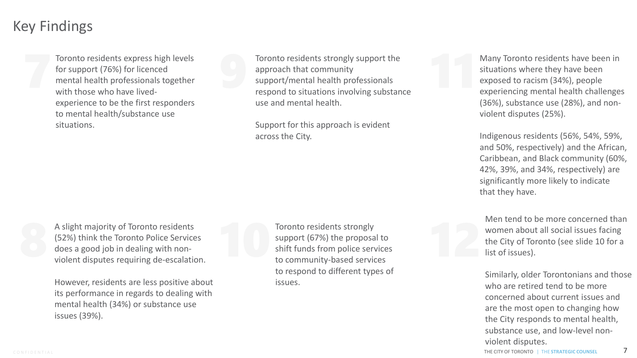## Key Findings

Toronto residents express high levels for support (76%) for licenced mental health professionals together with those who have livedexperience to be the first responders to mental health/substance use situations.

Toronto residents strongly support the approach that community support/mental health professionals respond to situations involving substance use and mental health. Toronto residents express high levels<br>for support (76%) for licenced<br>mental health professionals together<br>with those who have lived-<br>mental health professionals<br>respond to situations involving substance<br>respond to situatio

> Support for this approach is evident across the City.

A slight majority of Toronto residents (52%) think the Toronto Police Services does a good job in dealing with nonviolent disputes requiring de-escalation. A slight majority of Toronto residents<br>
(52%) think the Toronto Police Services<br>
does a good job in dealing with non-<br>
violent disputes requiring de-escalation.<br>
to community-based services<br>
to community-based services

However, residents are less positive about its performance in regards to dealing with mental health (34%) or substance use issues (39%).

Toronto residents strongly support (67%) the proposal to shift funds from police services to community-based services to respond to different types of issues.

Many Toronto residents have been in situations where they have been exposed to racism (34%), people experiencing mental health challenges (36%), substance use (28%), and nonviolent disputes (25%).

Indigenous residents (56%, 54%, 59%, and 50%, respectively) and the African, Caribbean, and Black community (60%, 42%, 39%, and 34%, respectively) are significantly more likely to indicate that they have.

Men tend to be more concerned than women about all social issues facing the City of Toronto (see slide 10 for a list of issues).

Similarly, older Torontonians and those who are retired tend to be more concerned about current issues and are the most open to changing how the City responds to mental health, substance use, and low-level nonviolent disputes.

CONFIDENTIAL **CONSERVATEGIC COUNSEL THE CITY OF TORONTO | THE STRATEGIC COUNSEL 7**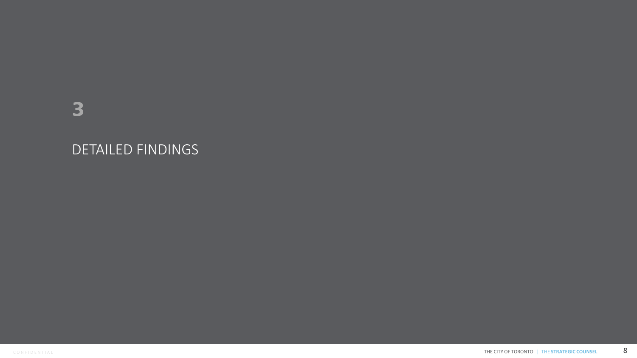# DETAILED FINDINGS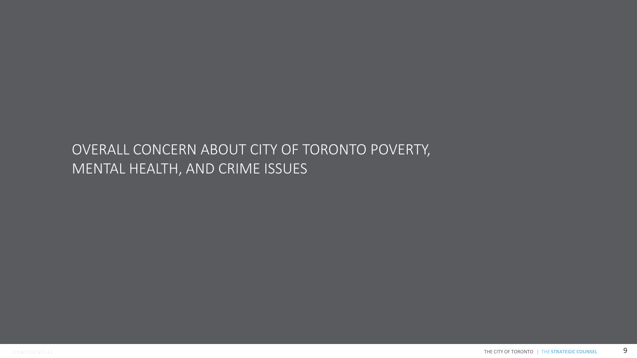# OVERALL CONCERN ABOUT CITY OF TORONTO POVERTY, MENTAL HEALTH, AND CRIME ISSUES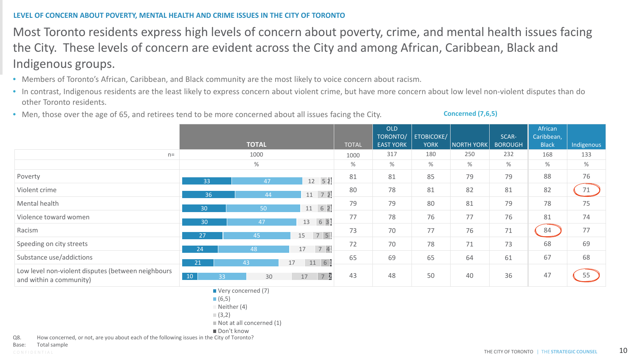### **LEVEL OF CONCERN ABOUT POVERTY, MENTAL HEALTH AND CRIME ISSUES IN THE CITY OF TORONTO**

Most Toronto residents express high levels of concern about poverty, crime, and mental health issues facing the City. These levels of concern are evident across the City and among African, Caribbean, Black and Indigenous groups.

- Members of Toronto's African, Caribbean, and Black community are the most likely to voice concern about racism.
- In contrast, Indigenous residents are the least likely to express concern about violent crime, but have more concern about low level non-violent disputes than do other Toronto residents.
- Men, those over the age of 65, and retirees tend to be more concerned about all issues facing the City.

**Concerned (7,6,5)**

|                                                                               |          | <b>TOTAL</b> |                     | <b>TOTAL</b> | OLD<br>TORONTO/<br><b>EAST YORK</b> | ETOBICOKE/<br><b>YORK</b> | <b>NORTH YORK</b> | SCAR-<br><b>BOROUGH</b> | African<br>Caribbean,<br><b>Black</b> | Indigenous |
|-------------------------------------------------------------------------------|----------|--------------|---------------------|--------------|-------------------------------------|---------------------------|-------------------|-------------------------|---------------------------------------|------------|
| $n=$                                                                          |          | 1000         |                     | 1000         | 317                                 | 180                       | 250               | 232                     | 168                                   | 133        |
|                                                                               |          | $\%$         |                     | %            | %                                   | %                         | $\%$              | $\%$                    | %                                     | $\%$       |
| Poverty                                                                       | 33       | 47           | $12 \quad 52$       | 81           | 81                                  | 85                        | 79                | 79                      | 88                                    | 76         |
| Violent crime                                                                 | 36       | 44           | $11 \quad 72$       | 80           | 78                                  | 81                        | 82                | 81                      | 82                                    | 71         |
| Mental health                                                                 | 30       | 50           | $11 \quad 62$       | 79           | 79                                  | 80                        | 81                | 79                      | 78                                    | 75         |
| Violence toward women                                                         | 30       | 47           | 631<br>13           | 77           | 78                                  | 76                        | 77                | 76                      | 81                                    | 74         |
| Racism                                                                        | 27       | 45           | 7 5<br>15           | 73           | 70                                  | 77                        | 76                | 71                      | 84                                    | 77         |
| Speeding on city streets                                                      | 24       | 48           | 74<br>17            | 72           | 70                                  | 78                        | 71                | 73                      | 68                                    | 69         |
| Substance use/addictions                                                      | 21       | 43           | $11 \quad 61$<br>17 | 65           | 69                                  | 65                        | 64                | 61                      | 67                                    | 68         |
| Low level non-violent disputes (between neighbours<br>and within a community) | 10<br>33 | 30           | 17                  | 43           | 48                                  | 50                        | 40                | 36                      | 47                                    | 55         |

■ Very concerned (7)

- $(6,5)$
- $\blacksquare$  Neither (4)

 $(3,2)$ 

Not at all concerned (1)

Don't know

Q8. How concerned, or not, are you about each of the following issues in the City of Toronto?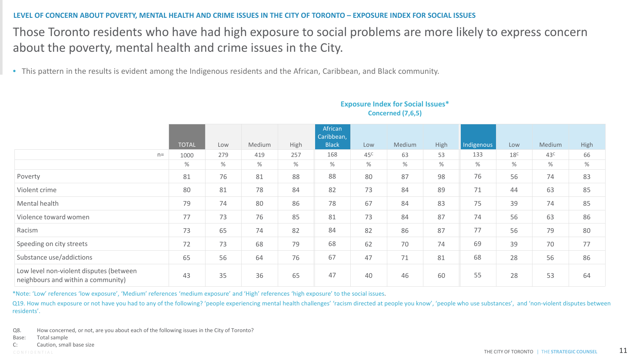### **LEVEL OF CONCERN ABOUT POVERTY, MENTAL HEALTH AND CRIME ISSUES IN THE CITY OF TORONTO – EXPOSURE INDEX FOR SOCIAL ISSUES**

### Those Toronto residents who have had high exposure to social problems are more likely to express concern about the poverty, mental health and crime issues in the City.

• This pattern in the results is evident among the Indigenous residents and the African, Caribbean, and Black community.

|                                                                               | <b>TOTAL</b> | Low  | Medium | High | African<br>Caribbean,<br><b>Black</b> | Low             | Medium | High | Indigenous | Low             | Medium          | High |
|-------------------------------------------------------------------------------|--------------|------|--------|------|---------------------------------------|-----------------|--------|------|------------|-----------------|-----------------|------|
| $n =$                                                                         | 1000         | 279  | 419    | 257  | 168                                   | 45 <sup>C</sup> | 63     | 53   | 133        | 18 <sup>C</sup> | 43 <sup>c</sup> | 66   |
|                                                                               | %            | $\%$ | $\%$   | $\%$ | $\%$                                  | $\%$            | $\%$   | $\%$ | %          | $\%$            | %               | $\%$ |
| Poverty                                                                       | 81           | 76   | 81     | 88   | 88                                    | 80              | 87     | 98   | 76         | 56              | 74              | 83   |
| Violent crime                                                                 | 80           | 81   | 78     | 84   | 82                                    | 73              | 84     | 89   | 71         | 44              | 63              | 85   |
| Mental health                                                                 | 79           | 74   | 80     | 86   | 78                                    | 67              | 84     | 83   | 75         | 39              | 74              | 85   |
| Violence toward women                                                         | 77           | 73   | 76     | 85   | 81                                    | 73              | 84     | 87   | 74         | 56              | 63              | 86   |
| Racism                                                                        | 73           | 65   | 74     | 82   | 84                                    | 82              | 86     | 87   | 77         | 56              | 79              | 80   |
| Speeding on city streets                                                      | 72           | 73   | 68     | 79   | 68                                    | 62              | 70     | 74   | 69         | 39              | 70              | 77   |
| Substance use/addictions                                                      | 65           | 56   | 64     | 76   | 67                                    | 47              | 71     | 81   | 68         | 28              | 56              | 86   |
| Low level non-violent disputes (between<br>neighbours and within a community) | 43           | 35   | 36     | 65   | 47                                    | 40              | 46     | 60   | 55         | 28              | 53              | 64   |

### **Exposure Index for Social Issues\* Concerned (7,6,5)**

\*Note: 'Low' references 'low exposure', 'Medium' references 'medium exposure' and 'High' references 'high exposure' to the social issues.

Q19. How much exposure or not have you had to any of the following? 'people experiencing mental health challenges' 'racism directed at people you know', 'people who use substances', and 'non-violent disputes between residents'.

Q8. How concerned, or not, are you about each of the following issues in the City of Toronto?

Base: Total sample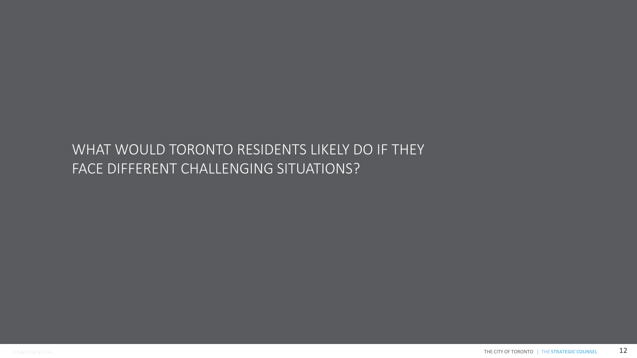# WHAT WOULD TORONTO RESIDENTS LIKELY DO IF THEY FACE DIFFERENT CHALLENGING SITUATIONS?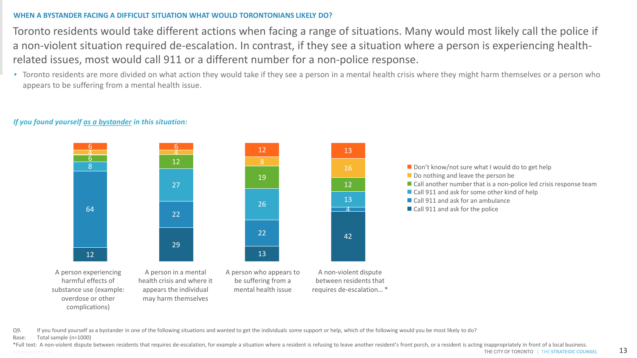### **WHEN A BYSTANDER FACING A DIFFICULT SITUATION WHAT WOULD TORONTONIANS LIKELY DO?**

Toronto residents would take different actions when facing a range of situations. Many would most likely call the police if a non-violent situation required de-escalation. In contrast, if they see a situation where a person is experiencing healthrelated issues, most would call 911 or a different number for a non-police response.

• Toronto residents are more divided on what action they would take if they see a person in a mental health crisis where they might harm themselves or a person who appears to be suffering from a mental health issue.



### *If you found yourself as a bystander in this situation:*

Q9. If you found yourself as a bystander in one of the following situations and wanted to get the individuals some support or help, which of the following would you be most likely to do?

Base: Total sample (n=1000)

CONFIDENTIAL **CONTINUES INTERFERATEGIC COUNSEL 13** \*Full text: A non-violent dispute between residents that requires de-escalation, for example a situation where a resident is refusing to leave another resident's front porch, or a resident is acting inappropriately in fron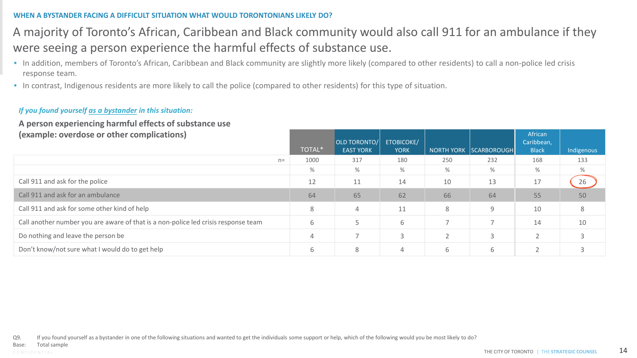### **WHEN A BYSTANDER FACING A DIFFICULT SITUATION WHAT WOULD TORONTONIANS LIKELY DO?**

### A majority of Toronto's African, Caribbean and Black community would also call 911 for an ambulance if they were seeing a person experience the harmful effects of substance use.

- In addition, members of Toronto's African, Caribbean and Black community are slightly more likely (compared to other residents) to call a non-police led crisis response team.
- In contrast, Indigenous residents are more likely to call the police (compared to other residents) for this type of situation.

### *If you found yourself as a bystander in this situation:*

### **A person experiencing harmful effects of substance use (example: overdose or other complications)**

| (example: overdose or other complications)                                         | TOTAL* | OLD TORONTO/<br><b>EAST YORK</b> | <b>ETOBICOKE/</b><br><b>YORK</b> |     | NORTH YORK SCARBOROUGH | African<br>Caribbean,<br><b>Black</b> | Indigenous |
|------------------------------------------------------------------------------------|--------|----------------------------------|----------------------------------|-----|------------------------|---------------------------------------|------------|
| $n=$                                                                               | 1000   | 317                              | 180                              | 250 | 232                    | 168                                   | 133        |
|                                                                                    | %      | %                                | $\%$                             | %   | %                      | %                                     | %          |
| Call 911 and ask for the police                                                    | 12     | 11                               | 14                               | 10  | 13                     | 17                                    | 26         |
| Call 911 and ask for an ambulance                                                  | 64     | 65                               | 62                               | 66  | 64                     | 55                                    | 50         |
| Call 911 and ask for some other kind of help                                       | 8      | 4                                | 11                               | 8   | 9                      | 10                                    | 8          |
| Call another number you are aware of that is a non-police led crisis response team | 6      |                                  | 6                                |     |                        | 14                                    | 10         |
| Do nothing and leave the person be                                                 | 4      |                                  |                                  |     | 3                      |                                       |            |
| Don't know/not sure what I would do to get help                                    | 6      | 8                                |                                  | 6   | 6                      |                                       |            |

Q9. If you found yourself as a bystander in one of the following situations and wanted to get the individuals some support or help, which of the following would you be most likely to do?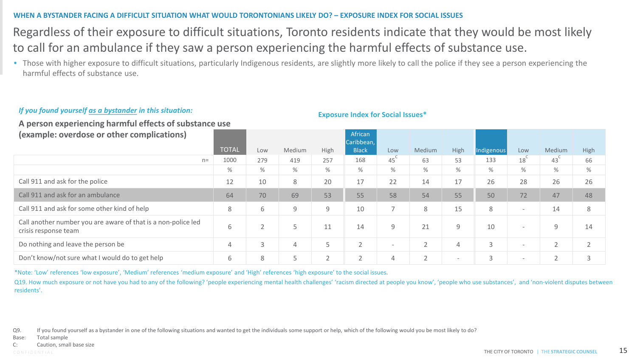### **WHEN A BYSTANDER FACING A DIFFICULT SITUATION WHAT WOULD TORONTONIANS LIKELY DO? – EXPOSURE INDEX FOR SOCIAL ISSUES**

### Regardless of their exposure to difficult situations, Toronto residents indicate that they would be most likely to call for an ambulance if they saw a person experiencing the harmful effects of substance use.

• Those with higher exposure to difficult situations, particularly Indigenous residents, are slightly more likely to call the police if they see a person experiencing the harmful effects of substance use.

### *If you found yourself as a bystander in this situation:*

**A person experiencing harmful effects of substance use** 

**(example: overdose or other complications)**

|                                                                                       | <b>TOTAL</b> | Low | Medium | High   | Caribbean,<br><b>Black</b> | Low                      | Medium         | High                     | Indigenous | Low                      | Medium          | High |
|---------------------------------------------------------------------------------------|--------------|-----|--------|--------|----------------------------|--------------------------|----------------|--------------------------|------------|--------------------------|-----------------|------|
| $n=$                                                                                  | 1000         | 279 | 419    | 257    | 168                        | 45                       | 63             | 53                       | 133        | 18 <sup>°</sup>          | 43 <sup>°</sup> | 66   |
|                                                                                       | $\%$         | %   | $\%$   | %      | %                          | $\%$                     | $\%$           | $\%$                     | $\%$       | $\%$                     | %               | %    |
| Call 911 and ask for the police                                                       | 12           | 10  | 8      | 20     | 17                         | 22                       | 14             | 17                       | 26         | 28                       | 26              | 26   |
| Call 911 and ask for an ambulance                                                     | 64           | 70  | 69     | 53     | 55                         | 58                       | 54             | 55                       | 50         | 72                       | 47              | 48   |
| Call 911 and ask for some other kind of help                                          | 8            | b   | 9      | 9      | 10                         | 7                        | 8              | 15                       | 8          | $\overline{\phantom{a}}$ | 14              | 8    |
| Call another number you are aware of that is a non-police led<br>crisis response team | b            |     |        | 11     | 14                         | 9                        | 21             | 9                        | 10         | $\overline{\phantom{a}}$ | 9               | 14   |
| Do nothing and leave the person be                                                    |              |     | 4      | 5      | $\bigcap$                  | $\overline{\phantom{a}}$ | $\overline{2}$ |                          | 3          | $\overline{\phantom{a}}$ | $\sim$          |      |
| Don't know/not sure what I would do to get help                                       | ь            | 8   |        | $\sim$ | $\sim$                     | 4                        | $\overline{2}$ | $\overline{\phantom{a}}$ | 3          | $\overline{\phantom{a}}$ |                 | 3    |

African

**Exposure Index for Social Issues\***

\*Note: 'Low' references 'low exposure', 'Medium' references 'medium exposure' and 'High' references 'high exposure' to the social issues.

Q19. How much exposure or not have you had to any of the following? 'people experiencing mental health challenges' 'racism directed at people you know', 'people who use substances', and 'non-violent disputes between residents'.

Base: Total sample

Q9. If you found yourself as a bystander in one of the following situations and wanted to get the individuals some support or help, which of the following would you be most likely to do?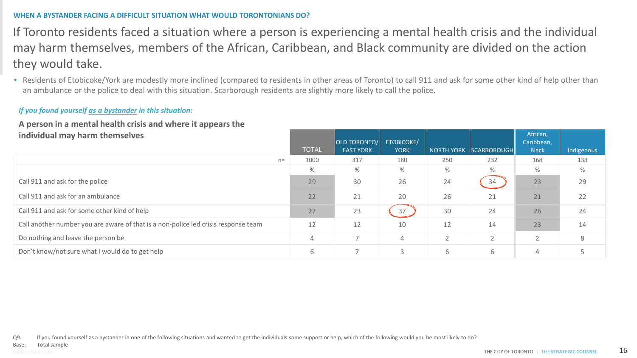### **WHEN A BYSTANDER FACING A DIFFICULT SITUATION WHAT WOULD TORONTONIANS DO?**

If Toronto residents faced a situation where a person is experiencing a mental health crisis and the individual may harm themselves, members of the African, Caribbean, and Black community are divided on the action they would take.

• Residents of Etobicoke/York are modestly more inclined (compared to residents in other areas of Toronto) to call 911 and ask for some other kind of help other than an ambulance or the police to deal with this situation. Scarborough residents are slightly more likely to call the police.

### *If you found yourself as a bystander in this situation:*

### **A person in a mental health crisis and where it appears the individual may harm themselves**

| individual may harm themselves                                                     | <b>TOTAL</b> | OLD TORONTO/<br><b>EAST YORK</b> | <b>ETOBICOKE/</b><br><b>YORK</b> |               | NORTH YORK SCARBOROUGH | African,<br>Caribbean,<br><b>Black</b> | Indigenous |
|------------------------------------------------------------------------------------|--------------|----------------------------------|----------------------------------|---------------|------------------------|----------------------------------------|------------|
| $n=$                                                                               | 1000         | 317                              | 180                              | 250           | 232                    | 168                                    | 133        |
|                                                                                    | $\%$         | %                                | %                                | $\%$          | %                      | $\%$                                   | %          |
| Call 911 and ask for the police                                                    | 29           | 30                               | 26                               | 24            | 34                     | 23                                     | 29         |
| Call 911 and ask for an ambulance                                                  | 22           | 21                               | 20                               | 26            | 21                     | 21                                     | 22         |
| Call 911 and ask for some other kind of help                                       | 27           | 23                               | 37                               | 30            | 24                     | 26                                     | 24         |
| Call another number you are aware of that is a non-police led crisis response team | 12           | 12                               | 10                               | 12            | 14                     | 23                                     | 14         |
| Do nothing and leave the person be                                                 | 4            |                                  | 4                                | $\mathcal{D}$ | $\overline{2}$         |                                        | 8          |
| Don't know/not sure what I would do to get help                                    | 6            |                                  |                                  | 6             | 6                      |                                        |            |

Q9. If you found yourself as a bystander in one of the following situations and wanted to get the individuals some support or help, which of the following would you be most likely to do?

Total sample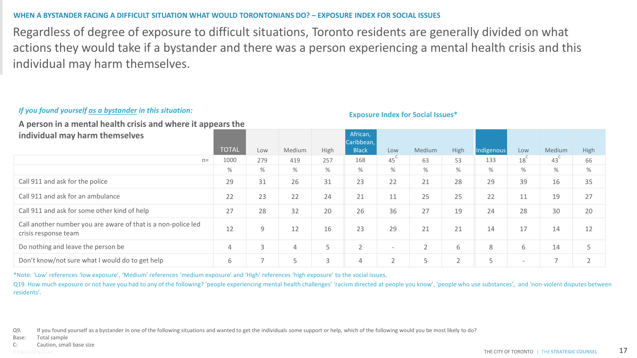### **WHEN A BYSTANDER FACING A DIFFICULT SITUATION WHAT WOULD TORONTONIANS DO? – EXPOSURE INDEX FOR SOCIAL ISSUES**

Regardless of degree of exposure to difficult situations, Toronto residents are generally divided on what actions they would take if a bystander and there was a person experiencing a mental health crisis and this individual may harm themselves.

### *If you found yourself as a bystander in this situation:*

**A person in a mental health crisis and where it appears the** 

**individual may harm themselves**

| <b>INDIVIDUAL INC. INC. INC. INC. INC. INC.</b>                                       | <b>TOTAL</b> | Low  | Medium         | High   | Caribbean,<br><b>Black</b> | Low                      | Medium         | High           | Indigenous     | Low                      | Medium          | High |
|---------------------------------------------------------------------------------------|--------------|------|----------------|--------|----------------------------|--------------------------|----------------|----------------|----------------|--------------------------|-----------------|------|
| $n=$                                                                                  | 1000         | 279  | 419            | 257    | 168                        | 45                       | 63             | 53             | 133            | 18`                      | 43 <sup>°</sup> | 66   |
|                                                                                       | %            | $\%$ | %              | %      | %                          | %                        | %              | %              | %              | $\%$                     | %               | %    |
| Call 911 and ask for the police                                                       | 29           | 31   | 26             | 31     | 23                         | 22                       | 21             | 28             | 29             | 39                       | 16              | 35   |
| Call 911 and ask for an ambulance                                                     | 22           | 23   | 22             | 24     | 21                         | 11                       | 25             | 25             | 22             | 11                       | 19              | 27   |
| Call 911 and ask for some other kind of help                                          | 27           | 28   | 32             | 20     | 26                         | 36                       | 27             | 19             | 24             | 28                       | 30              | 20   |
| Call another number you are aware of that is a non-police led<br>crisis response team | 12           | 9    | 12             | 16     | 23                         | 29                       | 21             | 21             | 14             | 17                       | 14              | 12   |
| Do nothing and leave the person be                                                    |              |      | 4              | 5      | $\overline{2}$             | $\overline{\phantom{a}}$ | $\overline{2}$ | 6              | 8              | 6                        | 14              | 5    |
| Don't know/not sure what I would do to get help                                       | 6            |      | $\overline{ }$ | $\sim$ | 4                          | $\bigcap$                |                | $\overline{ }$ | $\overline{a}$ | $\overline{\phantom{a}}$ |                 |      |

**African** 

**Exposure Index for Social Issues\*** 

\*Note: 'Low' references 'low exposure', 'Medium' references 'medium exposure' and 'High' references 'high exposure' to the social issues.

Q19. How much exposure or not have you had to any of the following? 'people experiencing mental health challenges' 'racism directed at people you know', 'people who use substances', and 'non-violent disputes between residents'.

Q9. If you found yourself as a bystander in one of the following situations and wanted to get the individuals some support or help, which of the following would you be most likely to do?

Base: Total sample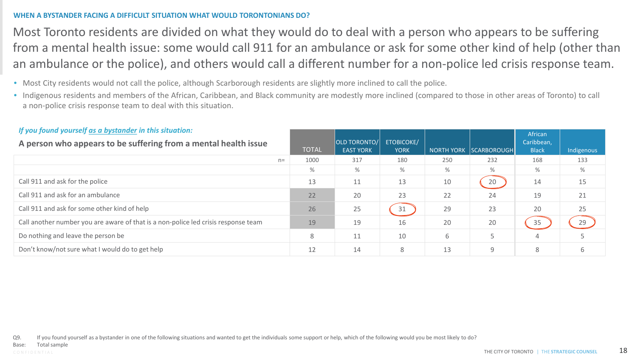### **WHEN A BYSTANDER FACING A DIFFICULT SITUATION WHAT WOULD TORONTONIANS DO?**

Most Toronto residents are divided on what they would do to deal with a person who appears to be suffering from a mental health issue: some would call 911 for an ambulance or ask for some other kind of help (other than an ambulance or the police), and others would call a different number for a non-police led crisis response team.

- Most City residents would not call the police, although Scarborough residents are slightly more inclined to call the police.
- Indigenous residents and members of the African, Caribbean, and Black community are modestly more inclined (compared to those in other areas of Toronto) to call a non-police crisis response team to deal with this situation.

| If you found yourself as a bystander in this situation:<br>A person who appears to be suffering from a mental health issue |      | <b>TOTAL</b> | <b>OLD TORONTO/</b><br><b>EAST YORK</b> | <b>ETOBICOKE/</b><br><b>YORK</b> |      | NORTH YORK SCARBOROUGH | African<br>Caribbean,<br><b>Black</b> | Indigenous |
|----------------------------------------------------------------------------------------------------------------------------|------|--------------|-----------------------------------------|----------------------------------|------|------------------------|---------------------------------------|------------|
|                                                                                                                            | $n=$ | 1000         | 317                                     | 180                              | 250  | 232                    | 168                                   | 133        |
|                                                                                                                            |      | %            | %                                       | %                                | $\%$ | %                      | $\%$                                  | %          |
| Call 911 and ask for the police                                                                                            |      | 13           | 11                                      | 13                               | 10   | 20                     | 14                                    | 15         |
| Call 911 and ask for an ambulance                                                                                          |      | 22           | 20                                      | 23                               | 22   | 24                     | 19                                    | 21         |
| Call 911 and ask for some other kind of help                                                                               |      | 26           | 25                                      | 31                               | 29   | 23                     | 20                                    | 25         |
| Call another number you are aware of that is a non-police led crisis response team                                         |      | 19           | 19                                      | 16                               | 20   | 20                     | 35                                    | 29         |
| Do nothing and leave the person be                                                                                         |      | 8            | 11                                      | 10                               | 6    | 5                      | 4                                     |            |
| Don't know/not sure what I would do to get help                                                                            |      | 12           | 14                                      | 8                                | 13   | 9                      | 8                                     | 6          |

### *If you found yourself as a bystander in this situation:*

Q9. If you found yourself as a bystander in one of the following situations and wanted to get the individuals some support or help, which of the following would you be most likely to do?

Base: Total sample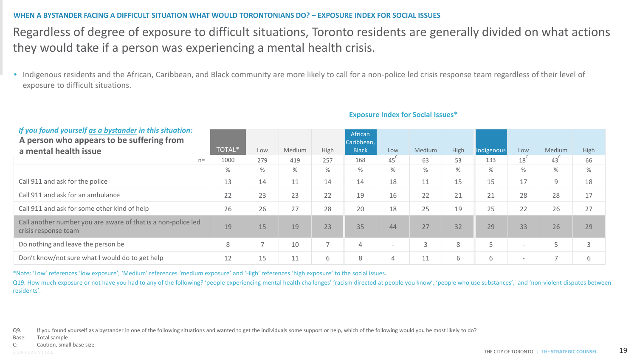### **WHEN A BYSTANDER FACING A DIFFICULT SITUATION WHAT WOULD TORONTONIANS DO? – EXPOSURE INDEX FOR SOCIAL ISSUES**

### Regardless of degree of exposure to difficult situations, Toronto residents are generally divided on what actions they would take if a person was experiencing a mental health crisis.

• Indigenous residents and the African, Caribbean, and Black community are more likely to call for a non-police led crisis response team regardless of their level of exposure to difficult situations.

| If you found yourself as a bystander in this situation:<br>A person who appears to be suffering from |        |                          |        |                          | African<br>Caribbean, |                          |               |      |            |                          |        |      |
|------------------------------------------------------------------------------------------------------|--------|--------------------------|--------|--------------------------|-----------------------|--------------------------|---------------|------|------------|--------------------------|--------|------|
| a mental health issue                                                                                | TOTAL* | Low                      | Medium | High                     | <b>Black</b>          | Low                      | <b>Medium</b> | High | Indigenous | Low                      | Medium | High |
| $n =$                                                                                                | 1000   | 279                      | 419    | 257                      | 168                   | 45 <sup>°</sup>          | 63            | 53   | 133        | 18                       | 43     | 66   |
|                                                                                                      | ℅      | %                        | %      | %                        | %                     | %                        | $\%$          | $\%$ | %          | %                        | $\%$   | %    |
| Call 911 and ask for the police                                                                      | 13     | 14                       | 11     | 14                       | 14                    | 18                       | 11            | 15   | 15         | 17                       | 9      | 18   |
| Call 911 and ask for an ambulance                                                                    | 22     | 23                       | 23     | 22                       | 19                    | 16                       | 22            | 21   | 21         | 28                       | 28     | 17   |
| Call 911 and ask for some other kind of help                                                         | 26     | 26                       | 27     | 28                       | 20                    | 18                       | 25            | 19   | 25         | 22                       | 26     | 27   |
| Call another number you are aware of that is a non-police led<br>crisis response team                | 19     | 15                       | 19     | 23                       | 35                    | 44                       | 27            | 32   | 29         | 33                       | 26     | 29   |
| Do nothing and leave the person be                                                                   | 8      | $\overline{\phantom{0}}$ | 10     | $\overline{\phantom{0}}$ | 4                     | $\overline{\phantom{a}}$ | 3             | 8    | 5          | $\overline{\phantom{0}}$ |        |      |
| Don't know/not sure what I would do to get help                                                      | 12     | 15                       | 11     | 6                        | 8                     | 4                        | 11            | 6    | 6          | $\overline{\phantom{0}}$ |        | 6    |

#### **Exposure Index for Social Issues\***

\*Note: 'Low' references 'low exposure', 'Medium' references 'medium exposure' and 'High' references 'high exposure' to the social issues.

Q19. How much exposure or not have you had to any of the following? 'people experiencing mental health challenges' 'racism directed at people you know', 'people who use substances', and 'non-violent disputes between residents'.

Q9. If you found yourself as a bystander in one of the following situations and wanted to get the individuals some support or help, which of the following would you be most likely to do?

Base: Total sample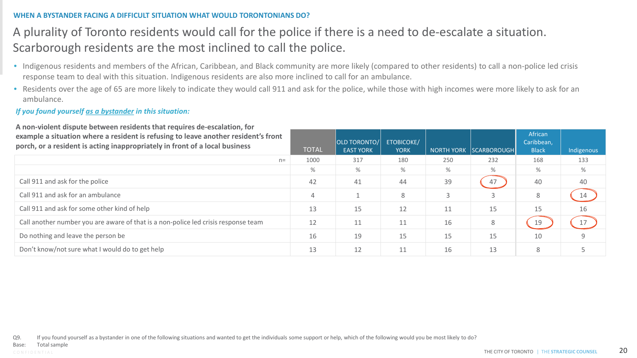### **WHEN A BYSTANDER FACING A DIFFICULT SITUATION WHAT WOULD TORONTONIANS DO?**

### A plurality of Toronto residents would call for the police if there is a need to de-escalate a situation. Scarborough residents are the most inclined to call the police.

- Indigenous residents and members of the African, Caribbean, and Black community are more likely (compared to other residents) to call a non-police led crisis response team to deal with this situation. Indigenous residents are also more inclined to call for an ambulance.
- Residents over the age of 65 are more likely to indicate they would call 911 and ask for the police, while those with high incomes were more likely to ask for an ambulance.

### *If you found yourself as a bystander in this situation:*

**A non-violent dispute between residents that requires de-escalation, for example a situation where a resident is refusing to leave another resident's front porch, or a resident is acting inappropriately in front of a local business**

| porch, or a resident is acting inappropriately in front of a local business        | <b>TOTAL</b> | OLD TORONTO/<br><b>EAST YORK</b> | <b>ETOBICOKE/</b><br><b>YORK</b> |     | NORTH YORK SCARBOROUGH | Caribbean,<br><b>Black</b> | Indigenous |
|------------------------------------------------------------------------------------|--------------|----------------------------------|----------------------------------|-----|------------------------|----------------------------|------------|
| $n=$                                                                               | 1000         | 317                              | 180                              | 250 | 232                    | 168                        | 133        |
|                                                                                    | $\%$         | %                                | $\%$                             | %   | %                      | %                          | $\%$       |
| Call 911 and ask for the police                                                    | 42           | 41                               | 44                               | 39  | 47                     | 40                         | 40         |
| Call 911 and ask for an ambulance                                                  | 4            |                                  | 8                                |     | 3                      | 8                          | 14         |
| Call 911 and ask for some other kind of help                                       | 13           | 15                               | 12                               | 11  | 15                     | 15                         | 16         |
| Call another number you are aware of that is a non-police led crisis response team | 12           | 11                               |                                  | 16  | 8                      | 19                         | 17         |
| Do nothing and leave the person be                                                 | 16           | 19                               | 15                               | 15  | 15                     | 10                         |            |
| Don't know/not sure what I would do to get help                                    | 13           | 12                               |                                  | 16  | 13                     | 8                          |            |

Q9. If you found yourself as a bystander in one of the following situations and wanted to get the individuals some support or help, which of the following would you be most likely to do?

African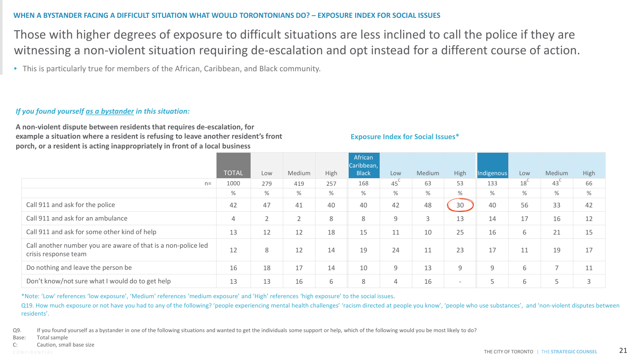#### **WHEN A BYSTANDER FACING A DIFFICULT SITUATION WHAT WOULD TORONTONIANS DO? – EXPOSURE INDEX FOR SOCIAL ISSUES**

Those with higher degrees of exposure to difficult situations are less inclined to call the police if they are witnessing a non-violent situation requiring de-escalation and opt instead for a different course of action.

• This is particularly true for members of the African, Caribbean, and Black community.

### *If you found yourself as a bystander in this situation:*

**A non-violent dispute between residents that requires de-escalation, for example a situation where a resident is refusing to leave another resident's front porch, or a resident is acting inappropriately in front of a local business**

#### **Exposure Index for Social Issues\***

|                                                                                       |              |                |             |      | African<br>Caribbean, |                 |        |                          |            |     |                          |      |
|---------------------------------------------------------------------------------------|--------------|----------------|-------------|------|-----------------------|-----------------|--------|--------------------------|------------|-----|--------------------------|------|
|                                                                                       | <b>TOTAL</b> | Low            | Medium      | High | <b>Black</b>          | Low             | Medium | High                     | Indigenous | Low | Medium                   | High |
| $n =$                                                                                 | 1000         | 279            | 419         | 257  | 168                   | 45 <sup>°</sup> | 63     | 53                       | 133        | 18  | 43                       | 66   |
|                                                                                       | %            | %              | $\%$        | %    | %                     | %               | %      | $\%$                     | %          | %   | $\%$                     | $\%$ |
| Call 911 and ask for the police                                                       | 42           | 47             | 41          | 40   | 40                    | 42              | 48     | 30                       | 40         | 56  | 33                       | 42   |
| Call 911 and ask for an ambulance                                                     | 4            | $\bigcap$<br>∠ | $\sim$<br>∠ | 8    | 8                     | 9               | 3      | 13                       | 14         | 17  | 16                       | 12   |
| Call 911 and ask for some other kind of help                                          | 13           | 12             | 12          | 18   | 15                    | 11              | 10     | 25                       | 16         | 6   | 21                       | 15   |
| Call another number you are aware of that is a non-police led<br>crisis response team | 12           | 8              | 12          | 14   | 19                    | 24              | 11     | 23                       | 17         | 11  | 19                       | 17   |
| Do nothing and leave the person be                                                    | 16           | 18             | 17          | 14   | 10                    | 9               | 13     | 9                        | 9          | 6   | $\overline{\phantom{a}}$ | 11   |
| Don't know/not sure what I would do to get help                                       | 13           | 13             | 16          | 6    | 8                     | $\overline{4}$  | 16     | $\overline{\phantom{0}}$ | Е          | 6   | $\overline{\phantom{0}}$ | 3    |

\*Note: 'Low' references 'low exposure', 'Medium' references 'medium exposure' and 'High' references 'high exposure' to the social issues.

Q19. How much exposure or not have you had to any of the following? 'people experiencing mental health challenges' 'racism directed at people you know', 'people who use substances', and 'non-violent disputes between residents'.

Q9. If you found yourself as a bystander in one of the following situations and wanted to get the individuals some support or help, which of the following would you be most likely to do?

Base: Total sample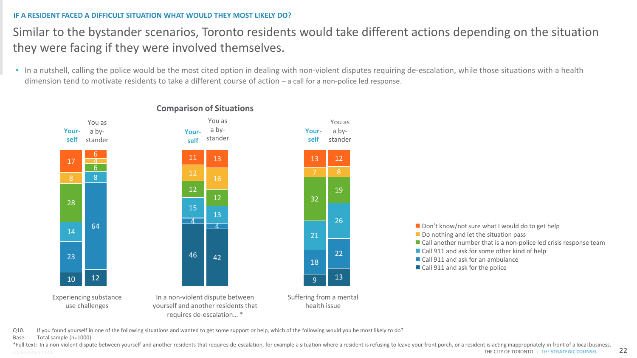### **IF A RESIDENT FACED A DIFFICULT SITUATION WHAT WOULD THEY MOST LIKELY DO?**

### Similar to the bystander scenarios, Toronto residents would take different actions depending on the situation they were facing if they were involved themselves.

• In a nutshell, calling the police would be the most cited option in dealing with non-violent disputes requiring de-escalation, while those situations with a health dimension tend to motivate residents to take a different course of action – a call for a non-police led response.



### **Comparison of Situations**



Q10. If you found yourself in one of the following situations and wanted to get some support or help, which of the following would you be most likely to do?

#### Base: Total sample (n=1000)

CONFIDENTIAL **CONTINUES AND REAL THE CITY OF TORONTO** | THE STRATEGIC COUNSEL 22 \*Full text: In a non-violent dispute between yourself and another residents that requires de-escalation, for example a situation where a resident is refusing to leave your front porch, or a resident is acting inappropriate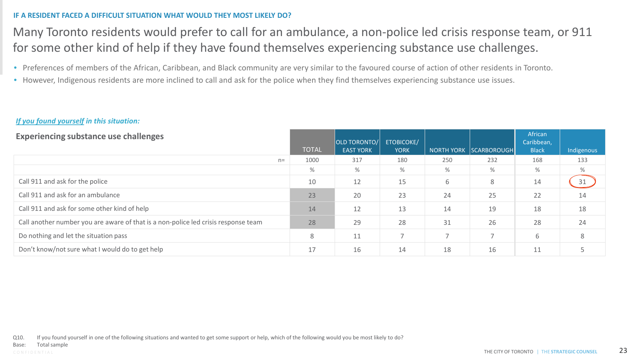### **IF A RESIDENT FACED A DIFFICULT SITUATION WHAT WOULD THEY MOST LIKELY DO?**

### Many Toronto residents would prefer to call for an ambulance, a non-police led crisis response team, or 911 for some other kind of help if they have found themselves experiencing substance use challenges.

- Preferences of members of the African, Caribbean, and Black community are very similar to the favoured course of action of other residents in Toronto.
- However, Indigenous residents are more inclined to call and ask for the police when they find themselves experiencing substance use issues.

### *If you found yourself in this situation:*

| <b>Experiencing substance use challenges</b>                                       | <b>TOTAL</b> | <b>OLD TORONTO/</b><br><b>EAST YORK</b> | <b>ETOBICOKE/</b><br><b>YORK</b> |               | NORTH YORK SCARBOROUGH | African<br>Caribbean,<br><b>Black</b> | Indigenous |
|------------------------------------------------------------------------------------|--------------|-----------------------------------------|----------------------------------|---------------|------------------------|---------------------------------------|------------|
| $n=$                                                                               | 1000         | 317                                     | 180                              | 250           | 232                    | 168                                   | 133        |
|                                                                                    | %            | %                                       | %                                | %             | %                      | %                                     | $\%$       |
| Call 911 and ask for the police                                                    | 10           | 12                                      | 15                               | 6             | 8                      | 14                                    | 31         |
| Call 911 and ask for an ambulance                                                  | 23           | 20                                      | 23                               | 24            | 25                     | 22                                    | 14         |
| Call 911 and ask for some other kind of help                                       | 14           | 12                                      | 13                               | 14            | 19                     | 18                                    | 18         |
| Call another number you are aware of that is a non-police led crisis response team | 28           | 29                                      | 28                               | 31            | 26                     | 28                                    | 24         |
| Do nothing and let the situation pass                                              | 8            | 11                                      |                                  | $\rightarrow$ | 7                      | 6                                     | 8          |
| Don't know/not sure what I would do to get help                                    | 17           | 16                                      | 14                               | 18            | 16                     | 11                                    |            |

Q10. If you found yourself in one of the following situations and wanted to get some support or help, which of the following would you be most likely to do?

Total sample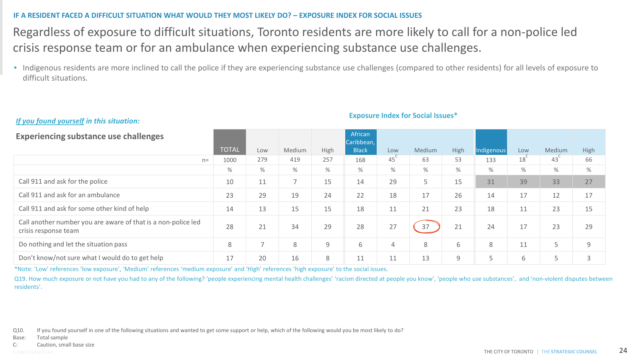#### **IF A RESIDENT FACED A DIFFICULT SITUATION WHAT WOULD THEY MOST LIKELY DO? – EXPOSURE INDEX FOR SOCIAL ISSUES**

### Regardless of exposure to difficult situations, Toronto residents are more likely to call for a non-police led crisis response team or for an ambulance when experiencing substance use challenges.

• Indigenous residents are more inclined to call the police if they are experiencing substance use challenges (compared to other residents) for all levels of exposure to difficult situations.

### *If you found yourself in this situation:*

**Experiencing substance use challenges**

| Experiencing substance use changinges                                                 | <b>TOTAL</b> | Low | Medium | High | Caribbean,<br><b>Black</b> | Low             | Medium | High | Indigenous | Low             | <b>Medium</b>   | High |
|---------------------------------------------------------------------------------------|--------------|-----|--------|------|----------------------------|-----------------|--------|------|------------|-----------------|-----------------|------|
| $n=$                                                                                  | 1000         | 279 | 419    | 257  | 168                        | 45 <sup>°</sup> | 63     | 53   | 133        | 18 <sup>°</sup> | 43 <sup>°</sup> | 66   |
|                                                                                       | ℅            | %   | $\%$   | $\%$ | $\%$                       | %               | $\%$   | %    | $\%$       | %               | %               | $\%$ |
| Call 911 and ask for the police                                                       | 10           | 11  |        | 15   | 14                         | 29              | 5      | 15   | 31         | 39              | 33              | 27   |
| Call 911 and ask for an ambulance                                                     | 23           | 29  | 19     | 24   | 22                         | 18              | 17     | 26   | 14         | 17              | 12              | 17   |
| Call 911 and ask for some other kind of help                                          | 14           | 13  | 15     | 15   | 18                         | 11              | 21     | 23   | 18         | 11              | 23              | 15   |
| Call another number you are aware of that is a non-police led<br>crisis response team | 28           | 21  | 34     | 29   | 28                         | 27              | 37     | 21   | 24         | 17              | 23              | 29   |
| Do nothing and let the situation pass                                                 | 8            |     | 8      | 9    | 6                          | $\overline{4}$  | 8      | 6    | 8          | 11              | 5               | 9    |
| Don't know/not sure what I would do to get help                                       | 17           | 20  | 16     | 8    | 11                         | 11              | 13     | 9    |            | 6               | 5               |      |

African

**Exposure Index for Social Issues\*** 

\*Note: 'Low' references 'low exposure', 'Medium' references 'medium exposure' and 'High' references 'high exposure' to the social issues.

Q19. How much exposure or not have you had to any of the following? 'people experiencing mental health challenges' 'racism directed at people you know', 'people who use substances', and 'non-violent disputes between residents'.

Q10. If you found yourself in one of the following situations and wanted to get some support or help, which of the following would you be most likely to do?

Base: Total sample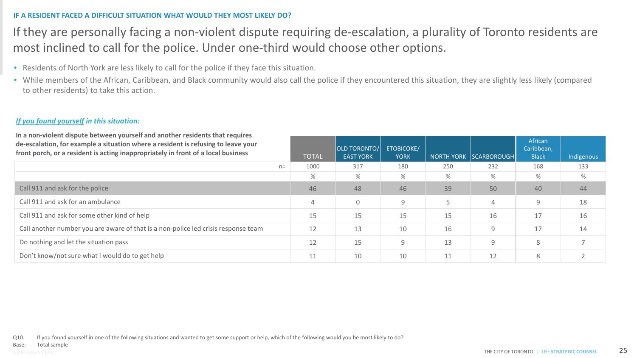### **IF A RESIDENT FACED A DIFFICULT SITUATION WHAT WOULD THEY MOST LIKELY DO?**

### If they are personally facing a non-violent dispute requiring de-escalation, a plurality of Toronto residents are most inclined to call for the police. Under one-third would choose other options.

- Residents of North York are less likely to call for the police if they face this situation.
- While members of the African, Caribbean, and Black community would also call the police if they encountered this situation, they are slightly less likely (compared to other residents) to take this action.

### *If you found yourself in this situation:*

| In a non-violent dispute between yourself and another residents that requires<br>de-escalation, for example a situation where a resident is refusing to leave your<br>front porch, or a resident is acting inappropriately in front of a local business | <b>TOTAL</b> | <b>OLD TORONTO/</b><br><b>EAST YORK</b> | <b>ETOBICOKE/</b><br><b>YORK</b> | <b>NORTH YORK</b> | <b>SCARBOROUGH</b> | African<br>Caribbean,<br><b>Black</b> | Indigenous |
|---------------------------------------------------------------------------------------------------------------------------------------------------------------------------------------------------------------------------------------------------------|--------------|-----------------------------------------|----------------------------------|-------------------|--------------------|---------------------------------------|------------|
| $n=$                                                                                                                                                                                                                                                    | 1000         | 317                                     | 180                              | 250               | 232                | 168                                   | 133        |
|                                                                                                                                                                                                                                                         | $\%$         | %                                       | %                                | %                 | %                  | $\%$                                  | $\%$       |
| Call 911 and ask for the police                                                                                                                                                                                                                         | 46           | 48                                      | 46                               | 39                | 50                 | 40                                    | 44         |
| Call 911 and ask for an ambulance                                                                                                                                                                                                                       | 4            | $\mathbf 0$                             | 9                                |                   | $\overline{4}$     | Q                                     | 18         |
| Call 911 and ask for some other kind of help                                                                                                                                                                                                            | 15           | 15                                      | 15                               | 15                | 16                 | 17                                    | 16         |
| Call another number you are aware of that is a non-police led crisis response team                                                                                                                                                                      | 12           | 13                                      | 10                               | 16                | 9                  | 17                                    | 14         |
| Do nothing and let the situation pass                                                                                                                                                                                                                   | 12           | 15                                      | 9                                | 13                | 9                  | 8                                     |            |
| Don't know/not sure what I would do to get help                                                                                                                                                                                                         | 11           | 10                                      | 10                               | 11                | 12                 | 8                                     |            |

Q10. If you found yourself in one of the following situations and wanted to get some support or help, which of the following would you be most likely to do?

Total sample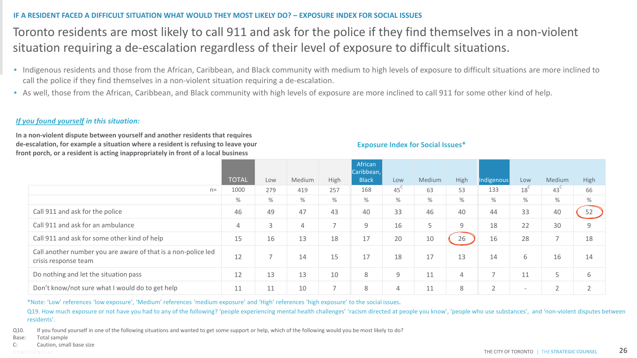### **IF A RESIDENT FACED A DIFFICULT SITUATION WHAT WOULD THEY MOST LIKELY DO? – EXPOSURE INDEX FOR SOCIAL ISSUES**

### Toronto residents are most likely to call 911 and ask for the police if they find themselves in a non-violent situation requiring a de-escalation regardless of their level of exposure to difficult situations.

- Indigenous residents and those from the African, Caribbean, and Black community with medium to high levels of exposure to difficult situations are more inclined to call the police if they find themselves in a non-violent situation requiring a de-escalation.
- As well, those from the African, Caribbean, and Black community with high levels of exposure are more inclined to call 911 for some other kind of help.

#### *If you found yourself in this situation:*

**In a non-violent dispute between yourself and another residents that requires de-escalation, for example a situation where a resident is refusing to leave your front porch, or a resident is acting inappropriately in front of a local business**

#### **Exposure Index for Social Issues\***

|                                                                                       |              |     |        |                          | African<br>Caribbean, |                 |        |             |                          |                          |                          |      |
|---------------------------------------------------------------------------------------|--------------|-----|--------|--------------------------|-----------------------|-----------------|--------|-------------|--------------------------|--------------------------|--------------------------|------|
|                                                                                       | <b>TOTAL</b> | Low | Medium | High                     | <b>Black</b>          | Low             | Medium | <b>High</b> | Indigenous               | Low                      | Medium                   | High |
| $n=$                                                                                  | 1000         | 279 | 419    | 257                      | 168                   | 45 <sup>°</sup> | 63     | 53          | 133                      | 18 <sup>°</sup>          | 43 <sup>6</sup>          | 66   |
|                                                                                       | $\%$         | %   | %      | %                        | $\%$                  | %               | %      | $\%$        | $\%$                     | %                        | %                        | $\%$ |
| Call 911 and ask for the police                                                       | 46           | 49  | 47     | 43                       | 40                    | 33              | 46     | 40          | 44                       | 33                       | 40                       | 52   |
| Call 911 and ask for an ambulance                                                     | 4            | 3   | 4      | $\overline{\phantom{0}}$ | 9                     | 16              | 5      | 9           | 18                       | 22                       | 30                       | 9    |
| Call 911 and ask for some other kind of help                                          | 15           | 16  | 13     | 18                       | 17                    | 20              | 10     | 26          | 16                       | 28                       | $\overline{\phantom{a}}$ | 18   |
| Call another number you are aware of that is a non-police led<br>crisis response team | 12           |     | 14     | 15                       | 17                    | 18              | 17     | 13          | 14                       | 6                        | 16                       | 14   |
| Do nothing and let the situation pass                                                 | 12           | 13  | 13     | 10                       | 8                     | 9               | 11     | 4           | $\overline{\phantom{0}}$ | 11                       | 5                        | 6    |
| Don't know/not sure what I would do to get help                                       | 11           | ᆂᆂ  | 10     | $\overline{\phantom{0}}$ | 8                     | 4               | 11     | 8           | $\sim$                   | $\overline{\phantom{a}}$ | $\sim$                   |      |

\*Note: 'Low' references 'low exposure', 'Medium' references 'medium exposure' and 'High' references 'high exposure' to the social issues.

Q19. How much exposure or not have you had to any of the following? 'people experiencing mental health challenges' 'racism directed at people you know', 'people who use substances', and 'non-violent disputes between residents'.

Q10. If you found yourself in one of the following situations and wanted to get some support or help, which of the following would you be most likely to do?

- Base: Total sample
- C: Caution, small base size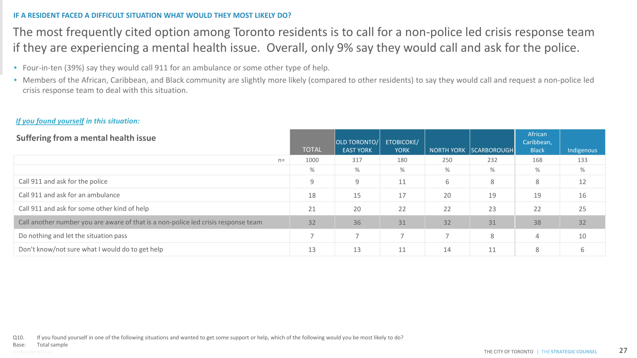### **IF A RESIDENT FACED A DIFFICULT SITUATION WHAT WOULD THEY MOST LIKELY DO?**

### The most frequently cited option among Toronto residents is to call for a non-police led crisis response team if they are experiencing a mental health issue. Overall, only 9% say they would call and ask for the police.

- Four-in-ten (39%) say they would call 911 for an ambulance or some other type of help.
- Members of the African, Caribbean, and Black community are slightly more likely (compared to other residents) to say they would call and request a non-police led crisis response team to deal with this situation.

### *If you found yourself in this situation:*

| Suffering from a mental health issue                                               | <b>TOTAL</b>             | OLD TORONTO/ <br><b>EAST YORK</b> | <b>ETOBICOKE/</b><br><b>YORK</b> |      | NORTH YORK   SCARBOROUGH | African<br>Caribbean,<br><b>Black</b> | Indigenous |
|------------------------------------------------------------------------------------|--------------------------|-----------------------------------|----------------------------------|------|--------------------------|---------------------------------------|------------|
| $n=$                                                                               | 1000                     | 317                               | 180                              | 250  | 232                      | 168                                   | 133        |
|                                                                                    | %                        | %                                 | %                                | $\%$ | $\%$                     | %                                     | $\%$       |
| Call 911 and ask for the police                                                    | 9                        | 9                                 | 11                               | 6    | 8                        | 8                                     | 12         |
| Call 911 and ask for an ambulance                                                  | 18                       | 15                                | 17                               | 20   | 19                       | 19                                    | 16         |
| Call 911 and ask for some other kind of help                                       | 21                       | 20                                | 22                               | 22   | 23                       | 22                                    | 25         |
| Call another number you are aware of that is a non-police led crisis response team | 32                       | 36                                | 31                               | 32   | 31                       | 38                                    | 32         |
| Do nothing and let the situation pass                                              | $\overline{\phantom{0}}$ | $\overline{\phantom{0}}$          |                                  |      | 8                        | 4                                     | 10         |
| Don't know/not sure what I would do to get help                                    | 13                       | 13                                |                                  | 14   | 11                       | 8                                     | 6          |

Q10. If you found yourself in one of the following situations and wanted to get some support or help, which of the following would you be most likely to do?

Total sample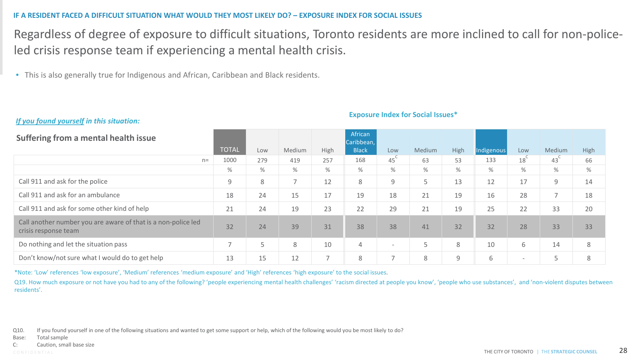#### **IF A RESIDENT FACED A DIFFICULT SITUATION WHAT WOULD THEY MOST LIKELY DO? – EXPOSURE INDEX FOR SOCIAL ISSUES**

Regardless of degree of exposure to difficult situations, Toronto residents are more inclined to call for non-policeled crisis response team if experiencing a mental health crisis.

• This is also generally true for Indigenous and African, Caribbean and Black residents.

#### *If you found yourself in this situation:*

#### **Exposure Index for Social Issues\***

| Suffering from a mental health issue                                                  |               |     |                          |                          | African<br>Caribbean, |                          |        |      |            |                          |                          |      |
|---------------------------------------------------------------------------------------|---------------|-----|--------------------------|--------------------------|-----------------------|--------------------------|--------|------|------------|--------------------------|--------------------------|------|
|                                                                                       | <b>TOTAL</b>  | Low | Medium                   | High                     | <b>Black</b>          | Low                      | Medium | High | Indigenous | Low                      | Medium                   | High |
| $n=$                                                                                  | 1000          | 279 | 419                      | 257                      | 168                   | 45                       | 63     | 53   | 133        | 18 <sup>°</sup>          | 43                       | 66   |
|                                                                                       | %             | %   | $\%$                     | %                        | %                     | %                        | $\%$   | %    | $\%$       | $\%$                     | %                        | %    |
| Call 911 and ask for the police                                                       | 9             | 8   | $\overline{\phantom{0}}$ | 12                       | 8                     | 9                        | Ь      | 13   | 12         | 17                       | 9                        | 14   |
| Call 911 and ask for an ambulance                                                     | 18            | 24  | 15                       | 17                       | 19                    | 18                       | 21     | 19   | 16         | 28                       | $\overline{\phantom{a}}$ | 18   |
| Call 911 and ask for some other kind of help                                          | 21            | 24  | 19                       | 23                       | 22                    | 29                       | 21     | 19   | 25         | 22                       | 33                       | 20   |
| Call another number you are aware of that is a non-police led<br>crisis response team | 32            | 24  | 39                       | 31                       | 38                    | 38                       | 41     | 32   | 32         | 28                       | 33                       | 33   |
| Do nothing and let the situation pass                                                 | $\rightarrow$ | 5   | 8                        | 10                       | $\overline{4}$        | $\overline{\phantom{a}}$ | 5      | 8    | 10         | 6                        | 14                       | 8    |
| Don't know/not sure what I would do to get help                                       | 13            | 15  | 12                       | $\overline{\phantom{0}}$ | 8                     | $\overline{\phantom{0}}$ | 8      | 9    | 6          | $\overline{\phantom{a}}$ | 5                        | 8    |

\*Note: 'Low' references 'low exposure', 'Medium' references 'medium exposure' and 'High' references 'high exposure' to the social issues.

Q19. How much exposure or not have you had to any of the following? 'people experiencing mental health challenges' 'racism directed at people you know', 'people who use substances', and 'non-violent disputes between residents'.

Q10. If you found yourself in one of the following situations and wanted to get some support or help, which of the following would you be most likely to do?

Base: Total sample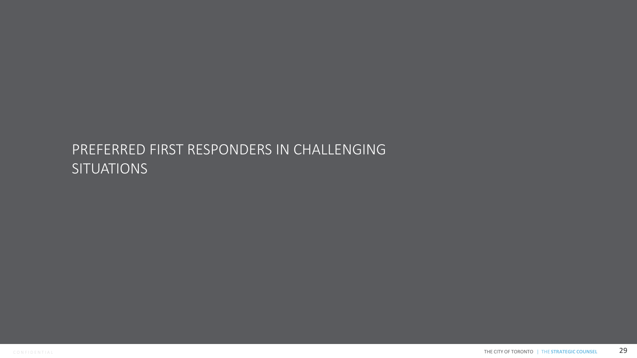# PREFERRED FIRST RESPONDERS IN CHALLENGING **SITUATIONS**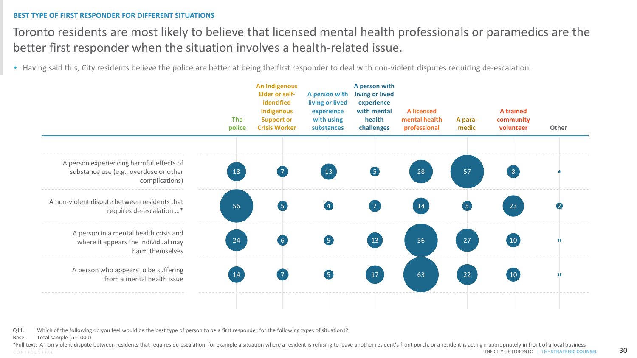#### **BEST TYPE OF FIRST RESPONDER FOR DIFFERENT SITUATIONS**

Toronto residents are most likely to believe that licensed mental health professionals or paramedics are the better first responder when the situation involves a health-related issue.

• Having said this, City residents believe the police are better at being the first responder to deal with non-violent disputes requiring de-escalation.



Q11. Which of the following do you feel would be the best type of person to be a first responder for the following types of situations?

Base: Total sample (n=1000)

CONFIDENTIAL **CONTINUES INTERFERATEGIC COUNSEL 30** \*Full text: A non-violent dispute between residents that requires de-escalation, for example a situation where a resident is refusing to leave another resident's front porch, or a resident is acting inappropriately in fron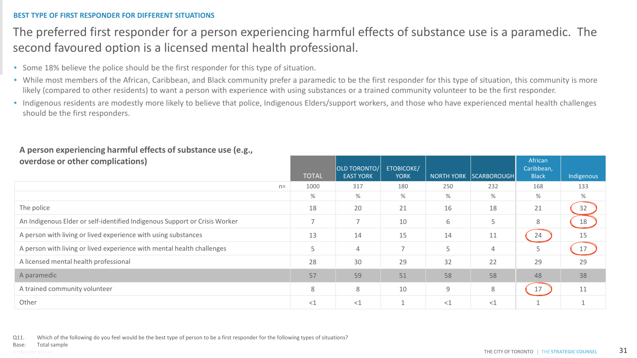### **BEST TYPE OF FIRST RESPONDER FOR DIFFERENT SITUATIONS**

### The preferred first responder for a person experiencing harmful effects of substance use is a paramedic. The second favoured option is a licensed mental health professional.

- Some 18% believe the police should be the first responder for this type of situation.
- While most members of the African, Caribbean, and Black community prefer a paramedic to be the first responder for this type of situation, this community is more likely (compared to other residents) to want a person with experience with using substances or a trained community volunteer to be the first responder.
- Indigenous residents are modestly more likely to believe that police, Indigenous Elders/support workers, and those who have experienced mental health challenges should be the first responders.

| overdose or other complications)                                           | <b>TOTAL</b>             | <b>OLD TORONTO/</b><br><b>EAST YORK</b> | <b>ETOBICOKE/</b><br><b>YORK</b> | <b>NORTH YORK</b> | SCARBOROUGH    | African<br>Caribbean,<br><b>Black</b> | Indigenous |
|----------------------------------------------------------------------------|--------------------------|-----------------------------------------|----------------------------------|-------------------|----------------|---------------------------------------|------------|
| $n=$                                                                       | 1000                     | 317                                     | 180                              | 250               | 232            | 168                                   | 133        |
|                                                                            | $\%$                     | %                                       | $\%$                             | $\frac{0}{0}$     | %              | %                                     | $\%$       |
| The police                                                                 | 18                       | 20                                      | 21                               | 16                | 18             | 21                                    | 32         |
| An Indigenous Elder or self-identified Indigenous Support or Crisis Worker | $\overline{\phantom{0}}$ | $\overline{ }$                          | 10                               | 6                 | 5              | 8                                     | 18         |
| A person with living or lived experience with using substances             | 13                       | 14                                      | 15                               | 14                | 11             | 24                                    | 15         |
| A person with living or lived experience with mental health challenges     | 5                        | 4                                       |                                  | 5                 | $\overline{4}$ |                                       | 17         |
| A licensed mental health professional                                      | 28                       | 30                                      | 29                               | 32                | 22             | 29                                    | 29         |
| A paramedic                                                                | 57                       | 59                                      | 51                               | 58                | 58             | 48                                    | 38         |
| A trained community volunteer                                              | 8                        | 8                                       | 10                               | 9                 | 8              | 17                                    | 11         |
| Other                                                                      | $<$ $1$                  | $<$ 1                                   |                                  | $<$ $1$           | $<$ $1$        |                                       |            |

### **A person experiencing harmful effects of substance use (e.g., overdose or other complications)**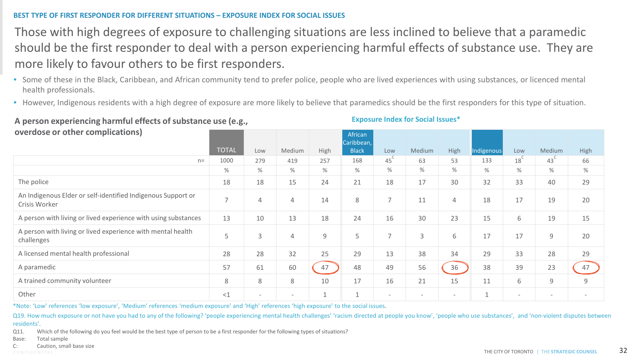### **BEST TYPE OF FIRST RESPONDER FOR DIFFERENT SITUATIONS – EXPOSURE INDEX FOR SOCIAL ISSUES**

Those with high degrees of exposure to challenging situations are less inclined to believe that a paramedic should be the first responder to deal with a person experiencing harmful effects of substance use. They are more likely to favour others to be first responders.

- Some of these in the Black, Caribbean, and African community tend to prefer police, people who are lived experiences with using substances, or licenced mental health professionals.
- However, Indigenous residents with a high degree of exposure are more likely to believe that paramedics should be the first responders for this type of situation.

**A person experiencing harmful effects of substance use (e.g., overdose or other complications)**

#### **Exposure Index for Social Issues\***

| overdose or other complications)                                              |                |     |                |      | African<br>Caribbean, |                          |                          |                          |              |                          |                          |      |
|-------------------------------------------------------------------------------|----------------|-----|----------------|------|-----------------------|--------------------------|--------------------------|--------------------------|--------------|--------------------------|--------------------------|------|
|                                                                               | <b>TOTAL</b>   | Low | Medium         | High | <b>Black</b>          | Low                      | Medium                   | High                     | Indigenous   | Low                      | Medium                   | High |
| $n =$                                                                         | 1000           | 279 | 419            | 257  | 168                   | $45^\circ$               | 63                       | 53                       | 133          | 18                       | 43 <sup>°</sup>          | 66   |
|                                                                               | %              | %   | $\%$           | $\%$ | %                     | %                        | %                        | %                        | %            | $\%$                     | %                        | $\%$ |
| The police                                                                    | 18             | 18  | 15             | 24   | 21                    | 18                       | 17                       | 30                       | 32           | 33                       | 40                       | 29   |
| An Indigenous Elder or self-identified Indigenous Support or<br>Crisis Worker | $\overline{7}$ | 4   | 4              | 14   | 8                     | $\overline{7}$           | 11                       | $\overline{4}$           | 18           | 17                       | 19                       | 20   |
| A person with living or lived experience with using substances                | 13             | 10  | 13             | 18   | 24                    | 16                       | 30                       | 23                       | 15           | 6                        | 19                       | 15   |
| A person with living or lived experience with mental health<br>challenges     | 5              | 3   | $\overline{4}$ | 9    | 5                     | $\overline{\phantom{0}}$ | 3                        | 6                        | 17           | 17                       | 9                        | 20   |
| A licensed mental health professional                                         | 28             | 28  | 32             | 25   | 29                    | 13                       | 38                       | 34                       | 29           | 33                       | 28                       | 29   |
| A paramedic                                                                   | 57             | 61  | 60             | 47   | 48                    | 49                       | 56                       | 36                       | 38           | 39                       | 23                       | 47   |
| A trained community volunteer                                                 | 8              | 8   | 8              | 10   | 17                    | 16                       | 21                       | 15                       | 11           | 6                        | 9                        | 9    |
| Other                                                                         | $<$ 1          |     |                |      | 1                     | $\overline{\phantom{a}}$ | $\overline{\phantom{0}}$ | $\overline{\phantom{a}}$ | $\mathbf{1}$ | $\overline{\phantom{0}}$ | $\overline{\phantom{a}}$ |      |

\*Note: 'Low' references 'low exposure', 'Medium' references 'medium exposure' and 'High' references 'high exposure' to the social issues.

Q19. How much exposure or not have you had to any of the following? 'people experiencing mental health challenges' 'racism directed at people you know', 'people who use substances', and 'non-violent disputes between residents'.

- Base: Total sample
- Caution, small base size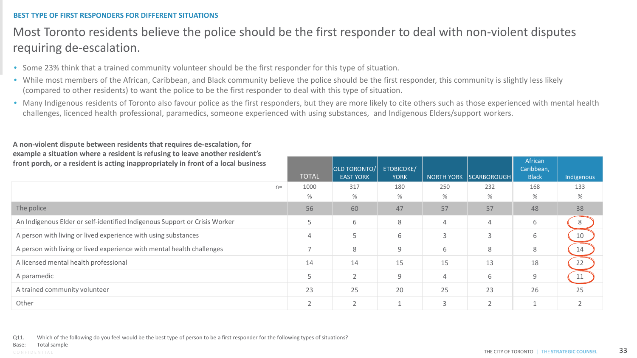### **BEST TYPE OF FIRST RESPONDERS FOR DIFFERENT SITUATIONS**

### Most Toronto residents believe the police should be the first responder to deal with non-violent disputes requiring de-escalation.

- Some 23% think that a trained community volunteer should be the first responder for this type of situation.
- While most members of the African, Caribbean, and Black community believe the police should be the first responder, this community is slightly less likely (compared to other residents) to want the police to be the first responder to deal with this type of situation.
- Many Indigenous residents of Toronto also favour police as the first responders, but they are more likely to cite others such as those experienced with mental health challenges, licenced health professional, paramedics, someone experienced with using substances, and Indigenous Elders/support workers.

| front porch, or a resident is acting inappropriately in front of a local business |                          | <b>OLD TORONTO/</b> | <b>ETOBICOKE/</b> |                |                        | African<br>Caribbean, |            |
|-----------------------------------------------------------------------------------|--------------------------|---------------------|-------------------|----------------|------------------------|-----------------------|------------|
|                                                                                   | <b>TOTAL</b>             | <b>EAST YORK</b>    | <b>YORK</b>       |                | NORTH YORK SCARBOROUGH | <b>Black</b>          | Indigenous |
| $n =$                                                                             | 1000                     | 317                 | 180               | 250            | 232                    | 168                   | 133        |
|                                                                                   | %                        | %                   | %                 | $\%$           | %                      | %                     | %          |
| The police                                                                        | 56                       | 60                  | 47                | 57             | 57                     | 48                    | 38         |
| An Indigenous Elder or self-identified Indigenous Support or Crisis Worker        | 5                        | 6                   | 8                 | 4              | 4                      | 6                     | 8          |
| A person with living or lived experience with using substances                    | 4                        | 5                   | 6                 | 3              | 3                      | 6                     | 10         |
| A person with living or lived experience with mental health challenges            | $\overline{\phantom{0}}$ | 8                   | 9                 | 6              | 8                      | 8                     | 14         |
| A licensed mental health professional                                             | 14                       | 14                  | 15                | 15             | 13                     | 18                    | 22         |
| A paramedic                                                                       | 5                        | $\overline{2}$      | 9                 | $\overline{4}$ | 6                      | 9                     | 11         |
| A trained community volunteer                                                     | 23                       | 25                  | 20                | 25             | 23                     | 26                    | 25         |
| Other                                                                             | $\overline{2}$           | $\overline{2}$      |                   | 3              | $\overline{2}$         |                       |            |

**A non-violent dispute between residents that requires de-escalation, for example a situation where a resident is refusing to leave another resident's**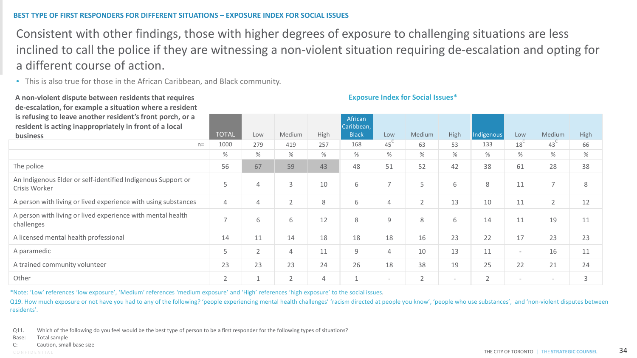### **BEST TYPE OF FIRST RESPONDERS FOR DIFFERENT SITUATIONS – EXPOSURE INDEX FOR SOCIAL ISSUES**

Consistent with other findings, those with higher degrees of exposure to challenging situations are less inclined to call the police if they are witnessing a non-violent situation requiring de-escalation and opting for a different course of action.

• This is also true for those in the African Caribbean, and Black community.

**A non-violent dispute between residents that requires** 

| de-escalation, for example a situation where a resident<br>is refusing to leave another resident's front porch, or a<br>resident is acting inappropriately in front of a local |                          |                |                |      | African<br>Caribbean, |                          |                |                          |                |                          |                          |      |
|--------------------------------------------------------------------------------------------------------------------------------------------------------------------------------|--------------------------|----------------|----------------|------|-----------------------|--------------------------|----------------|--------------------------|----------------|--------------------------|--------------------------|------|
| business                                                                                                                                                                       | <b>TOTAL</b>             | Low            | Medium         | High | <b>Black</b>          | Low                      | Medium         | High                     | Indigenous     | Low                      | Medium                   | High |
| $n =$                                                                                                                                                                          | 1000                     | 279            | 419            | 257  | 168                   | $45^{\circ}$             | 63             | 53                       | 133            | 18 <sup>C</sup>          | $43^\circ$               | 66   |
|                                                                                                                                                                                | $\%$                     | %              | %              | %    | %                     | %                        | $\%$           | %                        | $\%$           | $\%$                     | %                        | $\%$ |
| The police                                                                                                                                                                     | 56                       | 67             | 59             | 43   | 48                    | 51                       | 52             | 42                       | 38             | 61                       | 28                       | 38   |
| An Indigenous Elder or self-identified Indigenous Support or<br>Crisis Worker                                                                                                  | 5                        | 4              | 3              | 10   | 6                     | $\overline{7}$           | 5              | 6                        | 8              | 11                       | $\overline{7}$           | 8    |
| A person with living or lived experience with using substances                                                                                                                 | $\overline{4}$           | 4              | $\overline{2}$ | 8    | 6                     | 4                        | $\overline{2}$ | 13                       | 10             | 11                       | $\overline{2}$           | 12   |
| A person with living or lived experience with mental health<br>challenges                                                                                                      | $\overline{\phantom{0}}$ | 6              | 6              | 12   | 8                     | 9                        | 8              | 6                        | 14             | 11                       | 19                       | 11   |
| A licensed mental health professional                                                                                                                                          | 14                       | 11             | 14             | 18   | 18                    | 18                       | 16             | 23                       | 22             | 17                       | 23                       | 23   |
| A paramedic                                                                                                                                                                    | 5                        | $\overline{2}$ | 4              | 11   | $\overline{9}$        | 4                        | 10             | 13                       | 11             | $\overline{\phantom{a}}$ | 16                       | 11   |
| A trained community volunteer                                                                                                                                                  | 23                       | 23             | 23             | 24   | 26                    | 18                       | 38             | 19                       | 25             | 22                       | 21                       | 24   |
| Other                                                                                                                                                                          | $\overline{2}$           |                | $\overline{2}$ | 4    | $\overline{A}$        | $\overline{\phantom{0}}$ | $\overline{2}$ | $\overline{\phantom{a}}$ | $\overline{2}$ | $\overline{\phantom{0}}$ | $\overline{\phantom{a}}$ | 3    |

**Exposure Index for Social Issues\*** 

\*Note: 'Low' references 'low exposure', 'Medium' references 'medium exposure' and 'High' references 'high exposure' to the social issues.

Q19. How much exposure or not have you had to any of the following? 'people experiencing mental health challenges' 'racism directed at people you know', 'people who use substances', and 'non-violent disputes between residents'.

Q11. Which of the following do you feel would be the best type of person to be a first responder for the following types of situations?

Base: Total sample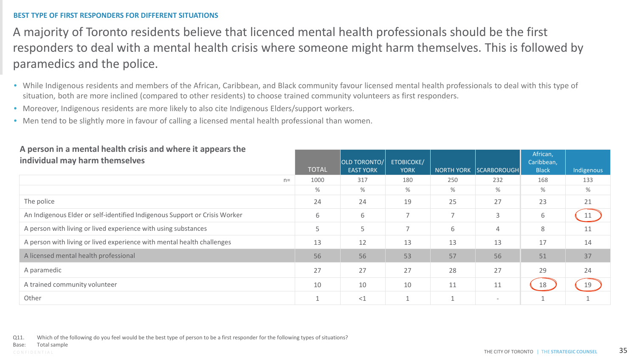### **BEST TYPE OF FIRST RESPONDERS FOR DIFFERENT SITUATIONS**

A majority of Toronto residents believe that licenced mental health professionals should be the first responders to deal with a mental health crisis where someone might harm themselves. This is followed by paramedics and the police.

- While Indigenous residents and members of the African, Caribbean, and Black community favour licensed mental health professionals to deal with this type of situation, both are more inclined (compared to other residents) to choose trained community volunteers as first responders.
- Moreover, Indigenous residents are more likely to also cite Indigenous Elders/support workers.
- Men tend to be slightly more in favour of calling a licensed mental health professional than women.

| <u>. . Person in a mental nearth and and and ance it appears the </u><br>individual may harm themselves | <b>TOTAL</b> | <b>OLD TORONTO/</b><br><b>EAST YORK</b> | <b>ETOBICOKE/</b><br><b>YORK</b> |                | NORTH YORK SCARBOROUGH   | African,<br>Caribbean,<br><b>Black</b> | Indigenous |
|---------------------------------------------------------------------------------------------------------|--------------|-----------------------------------------|----------------------------------|----------------|--------------------------|----------------------------------------|------------|
| $n=$                                                                                                    | 1000         | 317                                     | 180                              | 250            | 232                      | 168                                    | 133        |
|                                                                                                         | %            | $\%$                                    | $\%$                             | %              | %                        | $\%$                                   | %          |
| The police                                                                                              | 24           | 24                                      | 19                               | 25             | 27                       | 23                                     | 21         |
| An Indigenous Elder or self-identified Indigenous Support or Crisis Worker                              | 6            | 6                                       | $\overline{\phantom{0}}$         | $\overline{7}$ | $\mathsf{3}$             | 6                                      | 11         |
| A person with living or lived experience with using substances                                          |              | 5                                       | $\overline{\phantom{0}}$         | 6              | $\overline{4}$           | 8                                      | 11         |
| A person with living or lived experience with mental health challenges                                  | 13           | 12                                      | 13                               | 13             | 13                       | 17                                     | 14         |
| A licensed mental health professional                                                                   | 56           | 56                                      | 53                               | 57             | 56                       | 51                                     | 37         |
| A paramedic                                                                                             | 27           | 27                                      | 27                               | 28             | 27                       | 29                                     | 24         |
| A trained community volunteer                                                                           | 10           | 10                                      | 10                               | 11             | 11                       | 18                                     | 19         |
| Other                                                                                                   |              | <1                                      |                                  |                | $\overline{\phantom{a}}$ |                                        |            |

# **A person in a mental health crisis and where it appears the**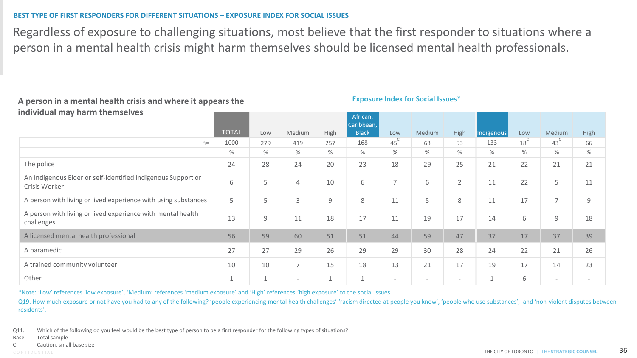### **BEST TYPE OF FIRST RESPONDERS FOR DIFFERENT SITUATIONS – EXPOSURE INDEX FOR SOCIAL ISSUES**

Regardless of exposure to challenging situations, most believe that the first responder to situations where a person in a mental health crisis might harm themselves should be licensed mental health professionals.

#### **A person in a mental health crisis and where it appears the individual may harm themselves**

#### **Exposure Index for Social Issues\***

|                                                                               |              |             |                          |                | African,<br>Caribbean, |                          |                          |                          |                           |                 |                          |                |
|-------------------------------------------------------------------------------|--------------|-------------|--------------------------|----------------|------------------------|--------------------------|--------------------------|--------------------------|---------------------------|-----------------|--------------------------|----------------|
|                                                                               | <b>TOTAL</b> | Low         | Medium                   | High           | <b>Black</b>           | Low                      | Medium                   | High                     | Indigenous                | Low             | Medium                   | High           |
| $n =$                                                                         | 1000         | 279         | 419                      | 257            | 168                    | $45^{\circ}$             | 63                       | 53                       | 133                       | 18 <sup>°</sup> | $43^{\circ}$             | 66             |
|                                                                               | %            | %           | %                        | $\%$           | %                      | %                        | %                        | %                        | %                         | $\%$            | $\%$                     | $\%$           |
| The police                                                                    | 24           | 28          | 24                       | 20             | 23                     | 18                       | 29                       | 25                       | 21                        | 22              | 21                       | 21             |
| An Indigenous Elder or self-identified Indigenous Support or<br>Crisis Worker | 6            | 5           | 4                        | 10             | 6                      | $\overline{ }$           | 6                        | $\overline{2}$           | 11                        | 22              | 5                        | 11             |
| A person with living or lived experience with using substances                | 5            | 5           | 3                        | $\overline{9}$ | 8                      | 11                       | 5                        | 8                        | 11                        | 17              | $\overline{7}$           | $\overline{9}$ |
| A person with living or lived experience with mental health<br>challenges     | 13           | $\mathsf 9$ | 11                       | 18             | 17                     | 11                       | 19                       | 17                       | 14                        | 6               | 9                        | 18             |
| A licensed mental health professional                                         | 56           | 59          | 60                       | 51             | 51                     | 44                       | 59                       | 47                       | 37                        | 17              | 37                       | 39             |
| A paramedic                                                                   | 27           | 27          | 29                       | 26             | 29                     | 29                       | 30                       | 28                       | 24                        | 22              | 21                       | 26             |
| A trained community volunteer                                                 | 10           | 10          | $\overline{7}$           | 15             | 18                     | 13                       | 21                       | 17                       | 19                        | 17              | 14                       | 23             |
| Other                                                                         |              |             | $\overline{\phantom{a}}$ | $\overline{A}$ | $\overline{A}$<br>T.   | $\overline{\phantom{0}}$ | $\overline{\phantom{a}}$ | $\overline{\phantom{a}}$ | $\overline{a}$<br>$\perp$ | 6               | $\overline{\phantom{a}}$ |                |

\*Note: 'Low' references 'low exposure', 'Medium' references 'medium exposure' and 'High' references 'high exposure' to the social issues.

Q19. How much exposure or not have you had to any of the following? 'people experiencing mental health challenges' 'racism directed at people you know', 'people who use substances', and 'non-violent disputes between residents'.

Q11. Which of the following do you feel would be the best type of person to be a first responder for the following types of situations?

Base: Total sample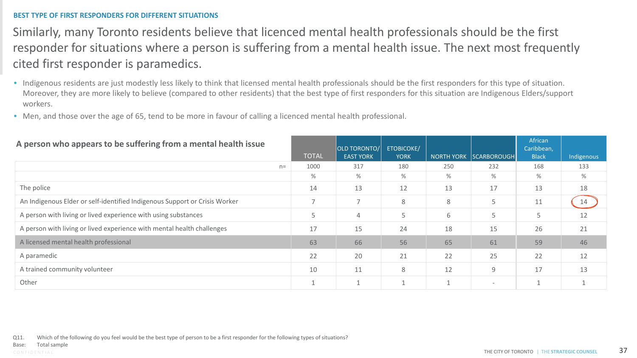### **BEST TYPE OF FIRST RESPONDERS FOR DIFFERENT SITUATIONS**

### Similarly, many Toronto residents believe that licenced mental health professionals should be the first responder for situations where a person is suffering from a mental health issue. The next most frequently cited first responder is paramedics.

- Indigenous residents are just modestly less likely to think that licensed mental health professionals should be the first responders for this type of situation. Moreover, they are more likely to believe (compared to other residents) that the best type of first responders for this situation are Indigenous Elders/support workers.
- Men, and those over the age of 65, tend to be more in favour of calling a licenced mental health professional.

| A person who appears to be suffering from a mental health issue            |      | <b>TOTAL</b>             | <b>OLD TORONTO/</b><br><b>EAST YORK</b> | <b>ETOBICOKE/</b><br><b>YORK</b> | <b>NORTH YORK</b> | <b>SCARBOROUGH</b>       | African<br>Caribbean,<br><b>Black</b> | Indigenous |
|----------------------------------------------------------------------------|------|--------------------------|-----------------------------------------|----------------------------------|-------------------|--------------------------|---------------------------------------|------------|
|                                                                            | $n=$ | 1000                     | 317                                     | 180                              | 250               | 232                      | 168                                   | 133        |
|                                                                            |      | $\%$                     | %                                       | %                                | $\%$              | %                        | %                                     | %          |
| The police                                                                 |      | 14                       | 13                                      | 12                               | 13                | 17                       | 13                                    | 18         |
| An Indigenous Elder or self-identified Indigenous Support or Crisis Worker |      | $\overline{\phantom{0}}$ | $\overline{ }$                          | 8                                | 8                 | 5                        | 11                                    | 14         |
| A person with living or lived experience with using substances             |      | 5                        | 4                                       | 5                                | 6                 | 5                        | 5                                     | 12         |
| A person with living or lived experience with mental health challenges     |      | 17                       | 15                                      | 24                               | 18                | 15                       | 26                                    | 21         |
| A licensed mental health professional                                      |      | 63                       | 66                                      | 56                               | 65                | 61                       | 59                                    | 46         |
| A paramedic                                                                |      | 22                       | 20                                      | 21                               | 22                | 25                       | 22                                    | 12         |
| A trained community volunteer                                              |      | 10                       | 11                                      | 8                                | 12                | 9                        | 17                                    | 13         |
| Other                                                                      |      |                          |                                         |                                  |                   | $\overline{\phantom{0}}$ |                                       |            |

Q11. Which of the following do you feel would be the best type of person to be a first responder for the following types of situations?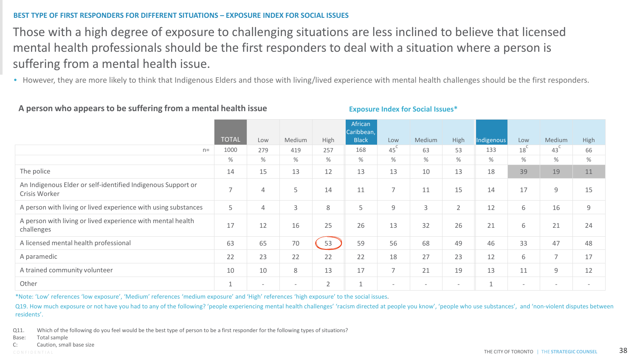### **BEST TYPE OF FIRST RESPONDERS FOR DIFFERENT SITUATIONS – EXPOSURE INDEX FOR SOCIAL ISSUES**

### Those with a high degree of exposure to challenging situations are less inclined to believe that licensed mental health professionals should be the first responders to deal with a situation where a person is suffering from a mental health issue.

• However, they are more likely to think that Indigenous Elders and those with living/lived experience with mental health challenges should be the first responders.

### **A person who appears to be suffering from a mental health issue**

### **Exposure Index for Social Issues\***

|                                                                               |                |                          |                          |                | African<br>Caribbean, |                          |                          |                          |              |                          |                          |             |
|-------------------------------------------------------------------------------|----------------|--------------------------|--------------------------|----------------|-----------------------|--------------------------|--------------------------|--------------------------|--------------|--------------------------|--------------------------|-------------|
|                                                                               | <b>TOTAL</b>   | Low                      | Medium                   | High           | <b>Black</b>          | Low                      | Medium                   | High                     | Indigenous   | Low                      | Medium                   | High        |
| $n =$                                                                         | 1000           | 279                      | 419                      | 257            | 168                   | $45^\circ$               | 63                       | 53                       | 133          | 18 <sup>C</sup>          | 43 <sup>°</sup>          | 66          |
|                                                                               | %              | %                        | %                        | %              | %                     | %                        | %                        | %                        | $\%$         | %                        | %                        | $\%$        |
| The police                                                                    | 14             | 15                       | 13                       | 12             | 13                    | 13                       | 10                       | 13                       | 18           | 39                       | 19                       | 11          |
| An Indigenous Elder or self-identified Indigenous Support or<br>Crisis Worker | $\overline{7}$ | 4                        | 5                        | 14             | 11                    | 7                        | 11                       | 15                       | 14           | 17                       | 9                        | 15          |
| A person with living or lived experience with using substances                | 5              | 4                        | 3                        | 8              | 5                     | 9                        | 3                        | $\overline{2}$           | 12           | 6                        | 16                       | $\mathsf 9$ |
| A person with living or lived experience with mental health<br>challenges     | 17             | 12                       | 16                       | 25             | 26                    | 13                       | 32                       | 26                       | 21           | 6                        | 21                       | 24          |
| A licensed mental health professional                                         | 63             | 65                       | 70                       | 53             | 59                    | 56                       | 68                       | 49                       | 46           | 33                       | 47                       | 48          |
| A paramedic                                                                   | 22             | 23                       | 22                       | 22             | 22                    | 18                       | 27                       | 23                       | 12           | 6                        | $\overline{ }$           | 17          |
| A trained community volunteer                                                 | 10             | 10                       | 8                        | 13             | 17                    | 7                        | 21                       | 19                       | 13           | 11                       | $\overline{9}$           | 12          |
| Other                                                                         | $\overline{ }$ | $\overline{\phantom{a}}$ | $\overline{\phantom{a}}$ | $\overline{2}$ | $\mathbf{1}$          | $\overline{\phantom{0}}$ | $\overline{\phantom{a}}$ | $\overline{\phantom{a}}$ | $\mathbf{1}$ | $\overline{\phantom{0}}$ | $\overline{\phantom{a}}$ |             |

\*Note: 'Low' references 'low exposure', 'Medium' references 'medium exposure' and 'High' references 'high exposure' to the social issues.

Q19. How much exposure or not have you had to any of the following? 'people experiencing mental health challenges' 'racism directed at people you know', 'people who use substances', and 'non-violent disputes between residents'.

Q11. Which of the following do you feel would be the best type of person to be a first responder for the following types of situations?

Base: Total sample

C: Caution, small base size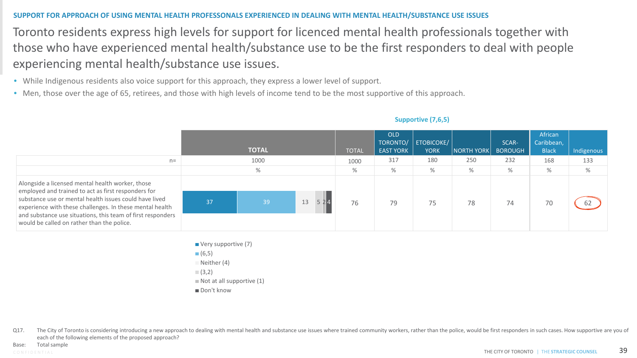### **SUPPORT FOR APPROACH OF USING MENTAL HEALTH PROFESSONALS EXPERIENCED IN DEALING WITH MENTAL HEALTH/SUBSTANCE USE ISSUES**

Toronto residents express high levels for support for licenced mental health professionals together with those who have experienced mental health/substance use to be the first responders to deal with people experiencing mental health/substance use issues.

- While Indigenous residents also voice support for this approach, they express a lower level of support.
- Men, those over the age of 65, retirees, and those with high levels of income tend to be the most supportive of this approach.

| $n=$                                                                                                                                                                                                                                                                                                                                       |    | <b>TOTAL</b><br>1000<br>% |    | <b>TOTAL</b><br>1000<br>% | <b>OLD</b><br>TORONTO/<br><b>EAST YORK</b><br>317<br>$\%$ | ETOBICOKE/<br><b>YORK</b><br>180<br>$\%$ | NORTH YORK<br>250<br>% | SCAR-<br><b>BOROUGH</b><br>232<br>% | African<br>Caribbean,<br><b>Black</b><br>168<br>$\%$ | Indigenous<br>133<br>$\%$ |
|--------------------------------------------------------------------------------------------------------------------------------------------------------------------------------------------------------------------------------------------------------------------------------------------------------------------------------------------|----|---------------------------|----|---------------------------|-----------------------------------------------------------|------------------------------------------|------------------------|-------------------------------------|------------------------------------------------------|---------------------------|
| Alongside a licensed mental health worker, those<br>employed and trained to act as first responders for<br>substance use or mental health issues could have lived<br>experience with these challenges. In these mental health<br>and substance use situations, this team of first responders<br>would be called on rather than the police. | 37 | 39                        | 13 | 76                        | 79                                                        | 75                                       | 78                     | 74                                  | 70                                                   | 62                        |

**Supportive (7,6,5)**

- Very supportive (7)
- $(6,5)$
- $\Box$  Neither (4)
- $(3,2)$
- $\blacksquare$  Not at all supportive (1)
- Don't know

Q17. The City of Toronto is considering introducing a new approach to dealing with mental health and substance use issues where trained community workers, rather than the police, would be first responders in such cases. Ho each of the following elements of the proposed approach?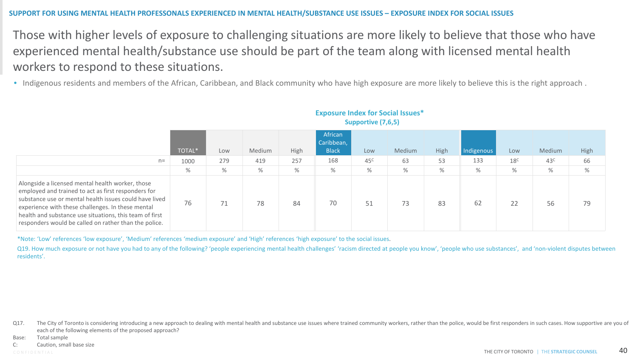### **SUPPORT FOR USING MENTAL HEALTH PROFESSONALS EXPERIENCED IN MENTAL HEALTH/SUBSTANCE USE ISSUES – EXPOSURE INDEX FOR SOCIAL ISSUES**

Those with higher levels of exposure to challenging situations are more likely to believe that those who have experienced mental health/substance use should be part of the team along with licensed mental health workers to respond to these situations.

• Indigenous residents and members of the African, Caribbean, and Black community who have high exposure are more likely to believe this is the right approach .

| $n =$                                                                                                                                                                                                                                                                                                                                      | <b>TOTAL*</b><br>1000 | Low<br>279 | Medium<br>419 | High<br>257 | African<br>Caribbean,<br><b>Black</b><br>168 | Low<br>45 <sup>c</sup> | Medium<br>63 | High<br>53 | Indigenous<br>133 | Low<br>18 <sup>C</sup> | Medium<br>43 <sup>c</sup> | High<br>66 |
|--------------------------------------------------------------------------------------------------------------------------------------------------------------------------------------------------------------------------------------------------------------------------------------------------------------------------------------------|-----------------------|------------|---------------|-------------|----------------------------------------------|------------------------|--------------|------------|-------------------|------------------------|---------------------------|------------|
|                                                                                                                                                                                                                                                                                                                                            | $\%$                  | $\%$       | $\%$          | $\%$        | %                                            | %                      | %            | %          | $\%$              | $\%$                   | %                         | $\%$       |
| Alongside a licensed mental health worker, those<br>employed and trained to act as first responders for<br>substance use or mental health issues could have lived<br>experience with these challenges. In these mental<br>health and substance use situations, this team of first<br>responders would be called on rather than the police. | 76                    | 71         | 78            | 84          | 70                                           | 51                     | 73           | 83         | 62                | 22                     | 56                        | 79         |

### **Exposure Index for Social Issues\***

**Supportive (7,6,5)**

\*Note: 'Low' references 'low exposure', 'Medium' references 'medium exposure' and 'High' references 'high exposure' to the social issues.

Q19. How much exposure or not have you had to any of the following? 'people experiencing mental health challenges' 'racism directed at people you know', 'people who use substances', and 'non-violent disputes between residents'.

Q17. The City of Toronto is considering introducing a new approach to dealing with mental health and substance use issues where trained community workers, rather than the police, would be first responders in such cases. Ho each of the following elements of the proposed approach?

Base: Total sample

C: Caution, small base size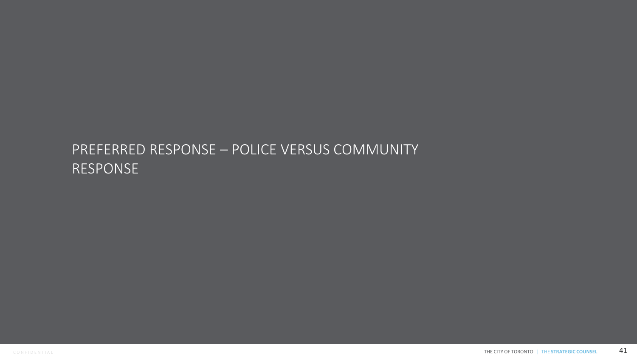## PREFERRED RESPONSE – POLICE VERSUS COMMUNITY RESPONSE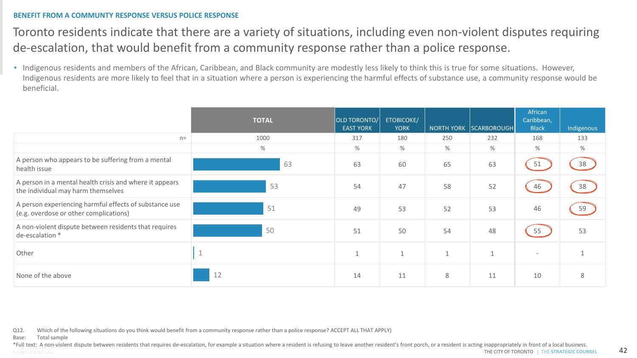### **BENEFIT FROM A COMMUNTY RESPONSE VERSUS POLICE RESPONSE**

### Toronto residents indicate that there are a variety of situations, including even non-violent disputes requiring de-escalation, that would benefit from a community response rather than a police response.

• Indigenous residents and members of the African, Caribbean, and Black community are modestly less likely to think this is true for some situations. However, Indigenous residents are more likely to feel that in a situation where a person is experiencing the harmful effects of substance use, a community response would be beneficial.

|                                                                                                  | <b>TOTAL</b> | OLD TORONTO/<br><b>EAST YORK</b> | ETOBICOKE/<br><b>YORK</b> |     | NORTH YORK SCARBOROUGH | African<br>Caribbean,<br><b>Black</b> | Indigenous |
|--------------------------------------------------------------------------------------------------|--------------|----------------------------------|---------------------------|-----|------------------------|---------------------------------------|------------|
| $n =$                                                                                            | 1000         | 317                              | 180                       | 250 | 232                    | 168                                   | 133        |
|                                                                                                  | $\%$         | $\%$                             | %                         | %   | $\%$                   | %                                     | %          |
| A person who appears to be suffering from a mental<br>health issue                               | 63           | 63                               | 60                        | 65  | 63                     | 51                                    | 38         |
| A person in a mental health crisis and where it appears<br>the individual may harm themselves    | 53           | 54                               | 47                        | 58  | 52                     | 46                                    | 38         |
| A person experiencing harmful effects of substance use<br>(e.g. overdose or other complications) | 51           | 49                               | 53                        | 52  | 53                     | 46                                    | 59         |
| A non-violent dispute between residents that requires<br>de-escalation *                         | 50           | 51                               | 50                        | 54  | 48                     | 55                                    | 53         |
| Other                                                                                            |              | $\mathbf{1}$                     |                           |     |                        |                                       |            |
| None of the above                                                                                | 12           | 14                               | 11                        | 8   | 11                     | 10                                    | 8          |

Q12. Which of the following situations do you think would benefit from a community response rather than a police response? ACCEPT ALL THAT APPLY)

Base: Total sample

CONFIDENTIAL **CONTINUES AND RESTRATEGIC COUNSEL 42** \*Full text: A non-violent dispute between residents that requires de-escalation, for example a situation where a resident is refusing to leave another resident's front porch, or a resident is acting inappropriately in fron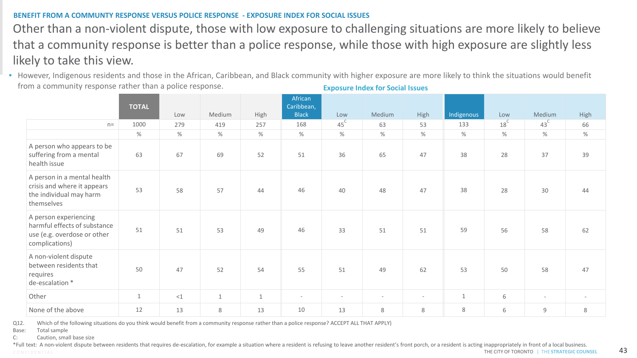### **BENEFIT FROM A COMMUNTY RESPONSE VERSUS POLICE RESPONSE - EXPOSURE INDEX FOR SOCIAL ISSUES**

Other than a non-violent dispute, those with low exposure to challenging situations are more likely to believe that a community response is better than a police response, while those with high exposure are slightly less likely to take this view.

• However, Indigenous residents and those in the African, Caribbean, and Black community with higher exposure are more likely to think the situations would benefit from a community response rather than a police response. **Exposure Index for Social Issues** 

|                                                                                                        | <b>TOTAL</b> | Low    | Medium       | High         | African<br>Caribbean,<br><b>Black</b> | Low                      | Medium | High                     | Indigenous   | Low             | Medium                   | High                     |
|--------------------------------------------------------------------------------------------------------|--------------|--------|--------------|--------------|---------------------------------------|--------------------------|--------|--------------------------|--------------|-----------------|--------------------------|--------------------------|
| $n=$                                                                                                   | 1000         | 279    | 419          | 257          | 168                                   | $45^{\circ}$             | 63     | 53                       | 133          | 18 <sup>C</sup> | $43^{\circ}$             | 66                       |
|                                                                                                        | $\%$         | $\%$   | $\%$         | $\%$         | $\%$                                  | $\%$                     | $\%$   | $\%$                     | $\%$         | $\%$            | $\%$                     | $\%$                     |
| A person who appears to be<br>suffering from a mental<br>health issue                                  | 63           | 67     | 69           | 52           | 51                                    | 36                       | 65     | 47                       | 38           | 28              | 37                       | 39                       |
| A person in a mental health<br>crisis and where it appears<br>the individual may harm<br>themselves    | 53           | 58     | 57           | 44           | 46                                    | 40                       | 48     | 47                       | 38           | 28              | 30                       | 44                       |
| A person experiencing<br>harmful effects of substance<br>use (e.g. overdose or other<br>complications) | 51           | 51     | 53           | 49           | 46                                    | 33                       | 51     | 51                       | 59           | 56              | 58                       | 62                       |
| A non-violent dispute<br>between residents that<br>requires<br>de-escalation *                         | 50           | 47     | 52           | 54           | 55                                    | 51                       | 49     | 62                       | 53           | 50              | 58                       | 47                       |
| Other                                                                                                  | $\mathbf{1}$ | ${<}1$ | $\mathbf{1}$ | $\mathbf{1}$ | $\overline{\phantom{a}}$              | $\overline{\phantom{a}}$ | $\sim$ | $\overline{\phantom{a}}$ | $\mathbf{1}$ | 6               | $\overline{\phantom{a}}$ | $\overline{\phantom{a}}$ |
| None of the above                                                                                      | 12           | 13     | 8            | 13           | 10                                    | 13                       | 8      | 8                        | 8            | 6               | $\mathsf g$              | 8                        |

Q12. Which of the following situations do you think would benefit from a community response rather than a police response? ACCEPT ALL THAT APPLY)

Base: Total sample

C: Caution, small base size

CONFIDENTIAL **CONTRATEGIC COUNSEL ASSESS** THE CITY OF TORONTO **THE STRATEGIC COUNSEL 43** \*Full text: A non-violent dispute between residents that requires de-escalation, for example a situation where a resident is refusing to leave another resident's front porch, or a resident is acting inappropriately in fron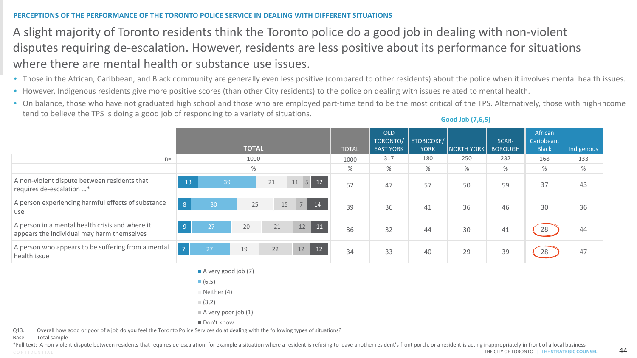### **PERCEPTIONS OF THE PERFORMANCE OF THE TORONTO POLICE SERVICE IN DEALING WITH DIFFERENT SITUATIONS**

### A slight majority of Toronto residents think the Toronto police do a good job in dealing with non-violent disputes requiring de-escalation. However, residents are less positive about its performance for situations where there are mental health or substance use issues.

- Those in the African, Caribbean, and Black community are generally even less positive (compared to other residents) about the police when it involves mental health issues.
- However, Indigenous residents give more positive scores (than other City residents) to the police on dealing with issues related to mental health.
- On balance, those who have not graduated high school and those who are employed part-time tend to be the most critical of the TPS. Alternatively, those with high-income tend to believe the TPS is doing a good job of responding to a variety of situations.

|                                                                                               | <b>TOTAL</b>                                 | <b>TOTAL</b> | <b>OLD</b><br>TORONTO/<br><b>EAST YORK</b> | <b>ETOBICOKE/</b><br><b>YORK</b> | <b>NORTH YORK</b> | SCAR-<br><b>BOROUGH</b> | African<br>Caribbean,<br><b>Black</b> | Indigenous |
|-----------------------------------------------------------------------------------------------|----------------------------------------------|--------------|--------------------------------------------|----------------------------------|-------------------|-------------------------|---------------------------------------|------------|
| $n=$                                                                                          | 1000                                         | 1000         | 317                                        | 180                              | 250               | 232                     | 168                                   | 133        |
|                                                                                               | $\%$                                         | %            | %                                          | $\%$                             | %                 | %                       | %                                     | %          |
| A non-violent dispute between residents that<br>requires de-escalation *                      | 12 <sub>l</sub><br>13<br>5<br>39<br>21<br>11 | 52           | 47                                         | 57                               | 50                | 59                      | 37                                    | 43         |
| A person experiencing harmful effects of substance<br>use                                     | 8 <sup>°</sup><br>7<br>14<br>30<br>25<br>15  | 39           | 36                                         | 41                               | 36                | 46                      | 30                                    | 36         |
| A person in a mental health crisis and where it<br>appears the individual may harm themselves | 9<br>11<br>20<br>21<br>12<br>27              | 36           | 32                                         | 44                               | 30                | 41                      | 28                                    | 44         |
| A person who appears to be suffering from a mental<br>health issue                            | 12<br>$\sqrt{7}$<br>22<br>19<br>27<br>12     | 34           | 33                                         | 40                               | 29                | 39                      | 28                                    | 47         |

A very good job (7)

 $(6,5)$ 

 $\Box$  Neither (4)

 $(3,2)$ 

 $\blacksquare$  A very poor job (1)

Don't know

Q13. Overall how good or poor of a job do you feel the Toronto Police Services do at dealing with the following types of situations?

Base: Total sample

CONFIDENTIAL **CONSERVERT OF TORONTO I**N THE CITY OF TORONTO IN THE STRATEGIC COUNSEL **44** \*Full text: A non-violent dispute between residents that requires de-escalation, for example a situation where a resident is refusing to leave another resident's front porch, or a resident is acting inappropriately in fron

**Good Job (7,6,5)**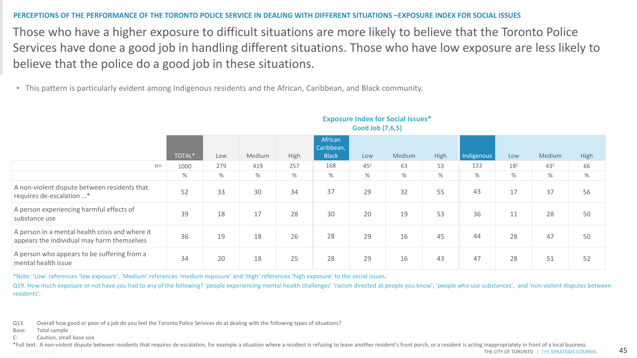### **PERCEPTIONS OF THE PERFORMANCE OF THE TORONTO POLICE SERVICE IN DEALING WITH DIFFERENT SITUATIONS –EXPOSURE INDEX FOR SOCIAL ISSUES**

Those who have a higher exposure to difficult situations are more likely to believe that the Toronto Police Services have done a good job in handling different situations. Those who have low exposure are less likely to believe that the police do a good job in these situations.

• This pattern is particularly evident among Indigenous residents and the African, Caribbean, and Black community.

|                                                                                               | TOTAL* | Low  | Medium | High | African<br>Caribbean,<br><b>Black</b> | Low             | Medium | High | Indigenous | Low             | Medium          | High |  |
|-----------------------------------------------------------------------------------------------|--------|------|--------|------|---------------------------------------|-----------------|--------|------|------------|-----------------|-----------------|------|--|
| $n =$                                                                                         | 1000   | 279  | 419    | 257  | 168                                   | 45 <sup>C</sup> | 63     | 53   | 133        | 18 <sup>C</sup> | 43 <sup>c</sup> | 66   |  |
|                                                                                               | $\%$   | $\%$ | %      | $\%$ | %                                     | %               | $\%$   | %    | %          | %               | %               | $\%$ |  |
| A non-violent dispute between residents that<br>requires de-escalation *                      | 52     | 33   | 30     | 34   | 37                                    | 29              | 32     | 55   | 43         | 17              | 37              | 56   |  |
| A person experiencing harmful effects of<br>substance use                                     | 39     | 18   | 17     | 28   | 30                                    | 20              | 19     | 53   | 36         | 11              | 28              | 50   |  |
| A person in a mental health crisis and where it<br>appears the individual may harm themselves | 36     | 19   | 18     | 26   | 28                                    | 29              | 16     | 45   | 44         | 28              | 47              | 50   |  |
| A person who appears to be suffering from a<br>mental health issue                            | 34     | 20   | 18     | 25   | 28                                    | 29              | 16     | 43   | 47         | 28              | 51              | 52   |  |
|                                                                                               |        |      |        |      |                                       |                 |        |      |            |                 |                 |      |  |

#### **Exposure Index for Social Issues\* Good Job (7,6,5)**

\*Note: 'Low' references 'low exposure', 'Medium' references 'medium exposure' and 'High' references 'high exposure' to the social issues.

Q19. How much exposure or not have you had to any of the following? 'people experiencing mental health challenges' 'racism directed at people you know', 'people who use substances', and 'non-violent disputes between residents'.

Q13. Overall how good or poor of a job do you feel the Toronto Police Services do at dealing with the following types of situations?

Base: Total sample

C: Caution, small base size

C O N F I D E N T I A L THE CITY OF TORONTO | THE **STRATEGIC COUNSEL** 45 \*Full text: A non-violent dispute between residents that requires de-escalation, for example a situation where a resident is refusing to leave another resident's front porch, or a resident is acting inappropriately in fron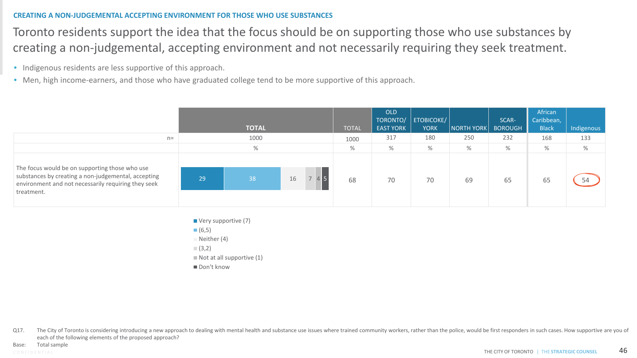### **CREATING A NON-JUDGEMENTAL ACCEPTING ENVIRONMENT FOR THOSE WHO USE SUBSTANCES**

Toronto residents support the idea that the focus should be on supporting those who use substances by creating a non-judgemental, accepting environment and not necessarily requiring they seek treatment.

- Indigenous residents are less supportive of this approach.
- Men, high income-earners, and those who have graduated college tend to be more supportive of this approach.

|                                                                                                                                                                            |    | <b>TOTAL</b> |    | <b>TOTAL</b> | OLD<br>TORONTO/<br><b>EAST YORK</b> | <b>ETOBICOKE/</b><br><b>YORK</b> | $\vert$ NORTH YORK $\vert$ | SCAR-<br><b>BOROUGH</b> | African<br>Caribbean,<br><b>Black</b> | Indigenous |
|----------------------------------------------------------------------------------------------------------------------------------------------------------------------------|----|--------------|----|--------------|-------------------------------------|----------------------------------|----------------------------|-------------------------|---------------------------------------|------------|
| $n=$                                                                                                                                                                       |    | 1000         |    | 1000         | 317                                 | 180                              | 250                        | 232                     | 168                                   | 133        |
|                                                                                                                                                                            |    | %            |    | $\%$         | $\%$                                | %                                | $\%$                       | $\%$                    | %                                     | %          |
| The focus would be on supporting those who use<br>substances by creating a non-judgemental, accepting<br>environment and not necessarily requiring they seek<br>treatment. | 29 | 38           | 16 | 68           | 70                                  | 70                               | 69                         | 65                      | 65                                    | 54         |

- Very supportive (7)
- $(6,5)$

 $N$  Neither (4)

- $(3,2)$
- $\blacksquare$  Not at all supportive (1)
- Don't know

Q17. The City of Toronto is considering introducing a new approach to dealing with mental health and substance use issues where trained community workers, rather than the police, would be first responders in such cases. Ho each of the following elements of the proposed approach?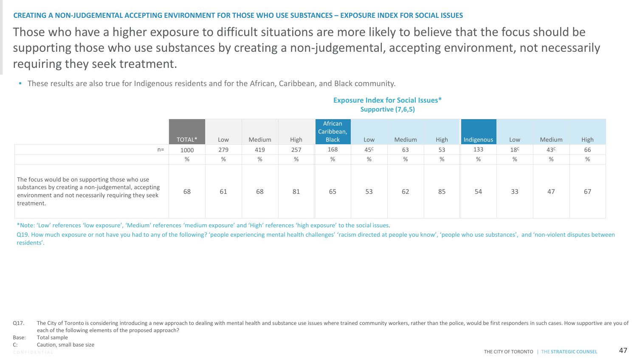### **CREATING A NON-JUDGEMENTAL ACCEPTING ENVIRONMENT FOR THOSE WHO USE SUBSTANCES – EXPOSURE INDEX FOR SOCIAL ISSUES**

Those who have a higher exposure to difficult situations are more likely to believe that the focus should be supporting those who use substances by creating a non-judgemental, accepting environment, not necessarily requiring they seek treatment.

• These results are also true for Indigenous residents and for the African, Caribbean, and Black community.

| $n=$                                                                                                                                                                       | TOTAL*<br>1000 | Low<br>279 | Medium<br>419 | High<br>257 | African<br>Caribbean,<br><b>Black</b><br>168 | Low<br>45 <sup>c</sup> | Medium<br>63 | High<br>53 | Indigenous<br>133 | Low<br>18 <sup>c</sup> | Medium<br>43 <sup>c</sup> | High<br>66 |
|----------------------------------------------------------------------------------------------------------------------------------------------------------------------------|----------------|------------|---------------|-------------|----------------------------------------------|------------------------|--------------|------------|-------------------|------------------------|---------------------------|------------|
|                                                                                                                                                                            | $\%$           | $\%$       | %             | $\%$        | %                                            | $\%$                   | %            | $\%$       | $\%$              | %                      | $\%$                      | $\%$       |
| The focus would be on supporting those who use<br>substances by creating a non-judgemental, accepting<br>environment and not necessarily requiring they seek<br>treatment. | 68             | 61         | 68            | 81          | 65                                           | 53                     | 62           | 85         | 54                | 33                     | 47                        | 67         |

### **Exposure Index for Social Issues\* Supportive (7,6,5)**

\*Note: 'Low' references 'low exposure', 'Medium' references 'medium exposure' and 'High' references 'high exposure' to the social issues.

Q19. How much exposure or not have you had to any of the following? 'people experiencing mental health challenges' 'racism directed at people you know', 'people who use substances', and 'non-violent disputes between residents'.

Q17. The City of Toronto is considering introducing a new approach to dealing with mental health and substance use issues where trained community workers, rather than the police, would be first responders in such cases. Ho each of the following elements of the proposed approach?

Base: Total sample

C: Caution, small base size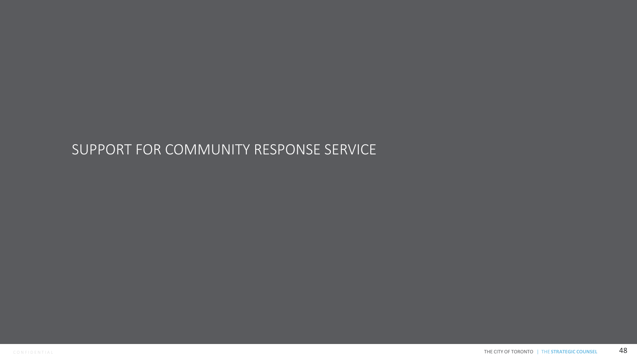## SUPPORT FOR COMMUNITY RESPONSE SERVICE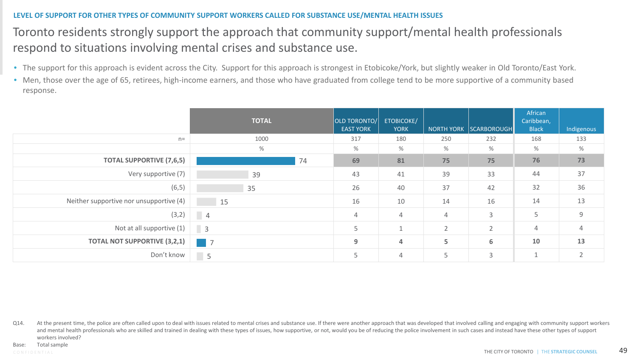### **LEVEL OF SUPPORT FOR OTHER TYPES OF COMMUNITY SUPPORT WORKERS CALLED FOR SUBSTANCE USE/MENTAL HEALTH ISSUES**

### Toronto residents strongly support the approach that community support/mental health professionals respond to situations involving mental crises and substance use.

- The support for this approach is evident across the City. Support for this approach is strongest in Etobicoke/York, but slightly weaker in Old Toronto/East York.
- Men, those over the age of 65, retirees, high-income earners, and those who have graduated from college tend to be more supportive of a community based response.

|                                         | <b>TOTAL</b>               | <b>OLD TORONTO/</b><br><b>EAST YORK</b> | <b>ETOBICOKE/</b><br><b>YORK</b> |                | NORTH YORK SCARBOROUGH | African<br>Caribbean,<br><b>Black</b> | Indigenous     |
|-----------------------------------------|----------------------------|-----------------------------------------|----------------------------------|----------------|------------------------|---------------------------------------|----------------|
| $n=$                                    | 1000                       | 317                                     | 180                              | 250            | 232                    | 168                                   | 133            |
|                                         | %                          | $\%$                                    | $\%$                             | $\%$           | %                      | %                                     | $\%$           |
| <b>TOTAL SUPPORTIVE (7,6,5)</b>         | 74                         | 69                                      | 81                               | 75             | 75                     | 76                                    | 73             |
| Very supportive (7)                     | 39                         | 43                                      | 41                               | 39             | 33                     | 44                                    | 37             |
| (6, 5)                                  | 35                         | 26                                      | 40                               | 37             | 42                     | 32                                    | 36             |
| Neither supportive nor unsupportive (4) | 15                         | 16                                      | 10                               | 14             | 16                     | 14                                    | 13             |
| (3,2)                                   |                            | 4                                       | $\overline{4}$                   | 4              | 3                      | 5                                     | $\mathsf 9$    |
| Not at all supportive (1)               | $\overline{\phantom{a}}$ 3 | 5                                       |                                  | $\overline{2}$ | $\overline{2}$         | 4                                     | $\overline{4}$ |
| <b>TOTAL NOT SUPPORTIVE (3,2,1)</b>     | $\overline{\phantom{0}}$ 7 | 9                                       | $\overline{4}$                   | 5              | 6                      | 10                                    | 13             |
| Don't know                              | $\vert$ 5                  | 5                                       | $\overline{4}$                   | 5              | 3                      |                                       | $\overline{2}$ |

Q14. At the present time, the police are often called upon to deal with issues related to mental crises and substance use. If there were another approach that was developed that involved calling and engaging with community and mental health professionals who are skilled and trained in dealing with these types of issues, how supportive, or not, would you be of reducing the police involvement in such cases and instead have these other types of workers involved?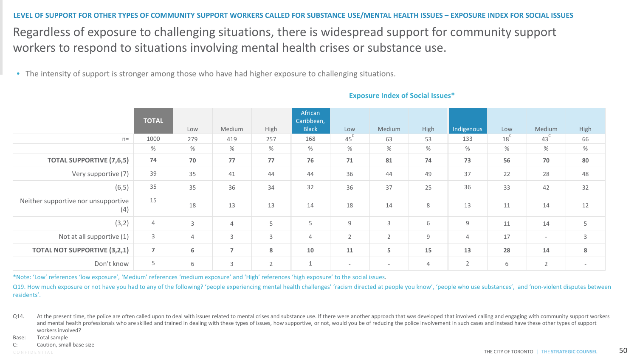Regardless of exposure to challenging situations, there is widespread support for community support workers to respond to situations involving mental health crises or substance use. **LEVEL OF SUPPORT FOR OTHER TYPES OF COMMUNITY SUPPORT WORKERS CALLED FOR SUBSTANCE USE/MENTAL HEALTH ISSUES – EXPOSURE INDEX FOR SOCIAL ISSUES** 

• The intensity of support is stronger among those who have had higher exposure to challenging situations.

|                                            | <b>TOTAL</b>   | Low  | Medium         | High           | African<br>Caribbean,<br><b>Black</b> | Low                      | Medium                   | High | Indigenous     | Low             | Medium          | High                     |
|--------------------------------------------|----------------|------|----------------|----------------|---------------------------------------|--------------------------|--------------------------|------|----------------|-----------------|-----------------|--------------------------|
| $n =$                                      | 1000           | 279  | 419            | 257            | 168                                   | 45 <sup>°</sup>          | 63                       | 53   | 133            | 18 <sup>°</sup> | 43 <sup>′</sup> | 66                       |
|                                            | %              | $\%$ | $\%$           | %              | %                                     | %                        | %                        | %    | %              | %               | $\%$            | $\%$                     |
| <b>TOTAL SUPPORTIVE (7,6,5)</b>            | 74             | 70   | 77             | 77             | 76                                    | 71                       | 81                       | 74   | 73             | 56              | 70              | 80                       |
| Very supportive (7)                        | 39             | 35   | 41             | 44             | 44                                    | 36                       | 44                       | 49   | 37             | 22              | 28              | 48                       |
| (6, 5)                                     | 35             | 35   | 36             | 34             | 32                                    | 36                       | 37                       | 25   | 36             | 33              | 42              | 32                       |
| Neither supportive nor unsupportive<br>(4) | 15             | 18   | 13             | 13             | 14                                    | 18                       | 14                       | 8    | 13             | 11              | 14              | 12                       |
| (3,2)                                      | $\overline{4}$ | 3    | $\overline{4}$ | 5              | 5                                     | 9                        | 3                        | 6    | 9              | 11              | 14              | 5                        |
| Not at all supportive (1)                  | 3              | 4    | 3              | 3              | $\overline{4}$                        | $\overline{2}$           | $\overline{2}$           | 9    | 4              | 17              | $\sim$          | 3                        |
| <b>TOTAL NOT SUPPORTIVE (3,2,1)</b>        | $\overline{7}$ | 6    | $\overline{7}$ | 8              | 10                                    | 11                       | 5                        | 15   | 13             | 28              | 14              | 8                        |
| Don't know                                 | 5              | 6    | 3              | $\overline{2}$ | $\mathbf{1}$                          | $\overline{\phantom{a}}$ | $\overline{\phantom{a}}$ | 4    | $\overline{2}$ | 6               | $\overline{2}$  | $\overline{\phantom{a}}$ |

### **Exposure Index of Social Issues\***

\*Note: 'Low' references 'low exposure', 'Medium' references 'medium exposure' and 'High' references 'high exposure' to the social issues.

Q19. How much exposure or not have you had to any of the following? 'people experiencing mental health challenges' 'racism directed at people you know', 'people who use substances', and 'non-violent disputes between residents'.

Q14. At the present time, the police are often called upon to deal with issues related to mental crises and substance use. If there were another approach that was developed that involved calling and engaging with community and mental health professionals who are skilled and trained in dealing with these types of issues, how supportive, or not, would you be of reducing the police involvement in such cases and instead have these other types of workers involved?

Base: Total sample

C: Caution, small base size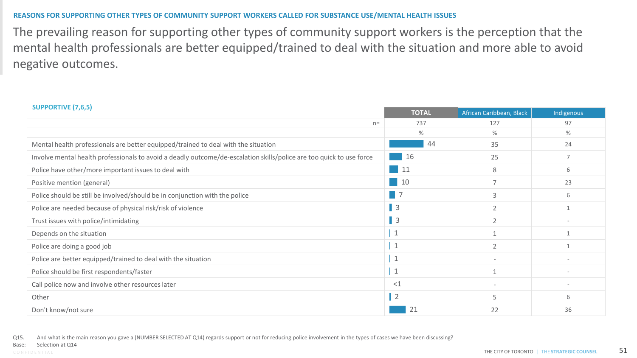### **REASONS FOR SUPPORTING OTHER TYPES OF COMMUNITY SUPPORT WORKERS CALLED FOR SUBSTANCE USE/MENTAL HEALTH ISSUES**

The prevailing reason for supporting other types of community support workers is the perception that the mental health professionals are better equipped/trained to deal with the situation and more able to avoid negative outcomes.

| <b>SUPPORTIVE (7,6,5)</b>                                                                                            | <b>TOTAL</b> | African Caribbean, Black | Indigenous |
|----------------------------------------------------------------------------------------------------------------------|--------------|--------------------------|------------|
| $n =$                                                                                                                | 737          | 127                      | 97         |
|                                                                                                                      | %            | %                        | $\%$       |
| Mental health professionals are better equipped/trained to deal with the situation                                   | 44           | 35                       | 24         |
| Involve mental health professionals to avoid a deadly outcome/de-escalation skills/police are too quick to use force | 16           | 25                       |            |
| Police have other/more important issues to deal with                                                                 | 11           | 8                        | 6          |
| Positive mention (general)                                                                                           | 10           | $\overline{7}$           | 23         |
| Police should be still be involved/should be in conjunction with the police                                          |              | 3                        | 6          |
| Police are needed because of physical risk/risk of violence                                                          | $\vert$ 3    | $\overline{2}$           |            |
| Trust issues with police/intimidating                                                                                | $\vert$ 3    | $\overline{2}$           |            |
| Depends on the situation                                                                                             | $\mathbf{1}$ |                          |            |
| Police are doing a good job                                                                                          | $\mathbf{1}$ | $\overline{2}$           |            |
| Police are better equipped/trained to deal with the situation                                                        | $\mathbf{1}$ |                          |            |
| Police should be first respondents/faster                                                                            | $\mathbf{1}$ |                          |            |
| Call police now and involve other resources later                                                                    | ${<}1$       |                          |            |
| Other                                                                                                                | $\vert$ 2    | 5                        | 6          |
| Don't know/not sure                                                                                                  |              | 22                       | 36         |

Q15. And what is the main reason you gave a (NUMBER SELECTED AT Q14) regards support or not for reducing police involvement in the types of cases we have been discussing?

Selection at Q14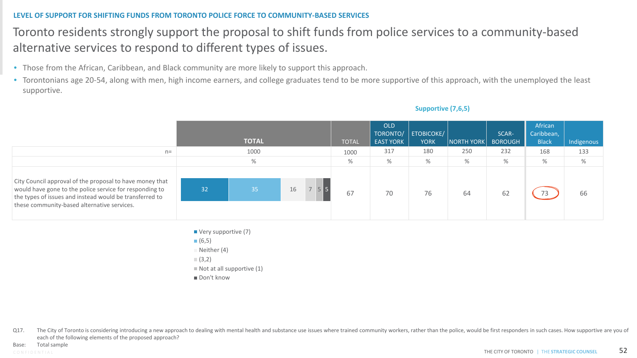### **LEVEL OF SUPPORT FOR SHIFTING FUNDS FROM TORONTO POLICE FORCE TO COMMUNITY-BASED SERVICES**

### Toronto residents strongly support the proposal to shift funds from police services to a community-based alternative services to respond to different types of issues.

- Those from the African, Caribbean, and Black community are more likely to support this approach.
- Torontonians age 20-54, along with men, high income earners, and college graduates tend to be more supportive of this approach, with the unemployed the least supportive.

|                                                                                                                                                                                                                               |    | <b>TOTAL</b> |         | <b>TOTAL</b> | OLD<br>TORONTO/<br><b>EAST YORK</b> | ETOBICOKE/<br><b>YORK</b> | NORTH YORK | SCAR-<br><b>BOROUGH</b> | African<br>Caribbean,<br><b>Black</b> | Indigenous |
|-------------------------------------------------------------------------------------------------------------------------------------------------------------------------------------------------------------------------------|----|--------------|---------|--------------|-------------------------------------|---------------------------|------------|-------------------------|---------------------------------------|------------|
| $n=$                                                                                                                                                                                                                          |    | 1000         |         | 1000         | 317                                 | 180                       | 250        | 232                     | 168                                   | 133        |
|                                                                                                                                                                                                                               |    | $\%$         |         | %            | $\%$                                | $\%$                      | $\%$       | %                       | %                                     | $\%$       |
| City Council approval of the proposal to have money that<br>would have gone to the police service for responding to<br>the types of issues and instead would be transferred to<br>these community-based alternative services. | 32 | 35           | 16<br>7 | 67           | 70                                  | 76                        | 64         | 62                      |                                       | 66         |

**Supportive (7,6,5)**

- Very supportive (7)  $(6,5)$  $\blacksquare$  Neither (4)  $(3,2)$  $\blacksquare$  Not at all supportive (1)
- Don't know

Q17. The City of Toronto is considering introducing a new approach to dealing with mental health and substance use issues where trained community workers, rather than the police, would be first responders in such cases. Ho each of the following elements of the proposed approach?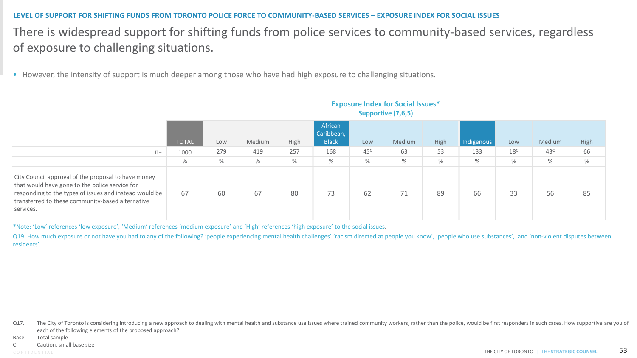### **LEVEL OF SUPPORT FOR SHIFTING FUNDS FROM TORONTO POLICE FORCE TO COMMUNITY-BASED SERVICES – EXPOSURE INDEX FOR SOCIAL ISSUES**

### There is widespread support for shifting funds from police services to community-based services, regardless of exposure to challenging situations.

• However, the intensity of support is much deeper among those who have had high exposure to challenging situations.

|                                                                                                                                                                                                                                  | <b>TOTAL</b> | Low  | Medium | High | African<br>Caribbean,<br><b>Black</b> | Low             | Medium | High | Indigenous | Low             | Medium          | High |
|----------------------------------------------------------------------------------------------------------------------------------------------------------------------------------------------------------------------------------|--------------|------|--------|------|---------------------------------------|-----------------|--------|------|------------|-----------------|-----------------|------|
| $n =$                                                                                                                                                                                                                            | 1000         | 279  | 419    | 257  | 168                                   | 45 <sup>c</sup> | 63     | 53   | 133        | 18 <sup>C</sup> | 43 <sup>c</sup> | 66   |
|                                                                                                                                                                                                                                  | $\%$         | $\%$ | $\%$   | $\%$ | $\%$                                  | %               | %      | $\%$ | $\%$       | $\%$            | %               | %    |
| City Council approval of the proposal to have money<br>that would have gone to the police service for<br>responding to the types of issues and instead would be<br>transferred to these community-based alternative<br>services. | 67           | 60   | 67     | 80   | 73                                    | 62              | 71     | 89   | 66         | 33              | 56              | 85   |

### **Exposure Index for Social Issues\* Supportive (7,6,5)**

\*Note: 'Low' references 'low exposure', 'Medium' references 'medium exposure' and 'High' references 'high exposure' to the social issues.

Q19. How much exposure or not have you had to any of the following? 'people experiencing mental health challenges' 'racism directed at people you know', 'people who use substances', and 'non-violent disputes between residents'.

Q17. The City of Toronto is considering introducing a new approach to dealing with mental health and substance use issues where trained community workers, rather than the police, would be first responders in such cases. Ho each of the following elements of the proposed approach?

Base: Total sample

C: Caution, small base size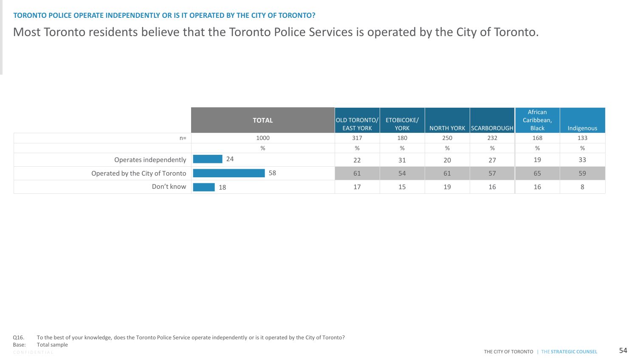### **TORONTO POLICE OPERATE INDEPENDENTLY OR IS IT OPERATED BY THE CITY OF TORONTO?**

Most Toronto residents believe that the Toronto Police Services is operated by the City of Toronto.

|                                 | <b>TOTAL</b> | OLD TORONTO/<br><b>EAST YORK</b> | <b>ETOBICOKE/</b><br><b>YORK</b> |     | NORTH YORK SCARBOROUGH | African<br>Caribbean,<br><b>Black</b> | Indigenous |
|---------------------------------|--------------|----------------------------------|----------------------------------|-----|------------------------|---------------------------------------|------------|
| $n =$                           | 1000         | 317                              | 180                              | 250 | 232                    | 168                                   | 133        |
|                                 | %            | %                                | $\%$                             | %   | %                      | %                                     | $\%$       |
| Operates independently          | 24           | 22                               | 31                               | 20  | 27                     | 19                                    | 33         |
| Operated by the City of Toronto | 58           | 61                               | 54                               | 61  | 57                     | 65                                    | 59         |
| Don't know                      | 18           | 17                               | 15                               | 19  | 16                     | 16                                    |            |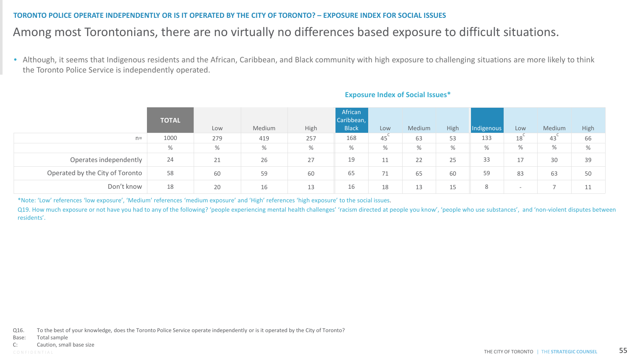### **TORONTO POLICE OPERATE INDEPENDENTLY OR IS IT OPERATED BY THE CITY OF TORONTO? – EXPOSURE INDEX FOR SOCIAL ISSUES**

### Among most Torontonians, there are no virtually no differences based exposure to difficult situations.

• Although, it seems that Indigenous residents and the African, Caribbean, and Black community with high exposure to challenging situations are more likely to think the Toronto Police Service is independently operated.

|                                 | <b>TOTAL</b> |      |        |      | African<br>Caribbean, |      |        |      |            |                 |        |      |
|---------------------------------|--------------|------|--------|------|-----------------------|------|--------|------|------------|-----------------|--------|------|
|                                 |              | Low  | Medium | High | <b>Black</b>          | Low  | Medium | High | Indigenous | Low             | Medium | High |
| $n=$                            | 1000         | 279  | 419    | 257  | 168                   | 45   | 63     | 53   | 133        | 18 <sup>°</sup> | 43     | 66   |
|                                 | $\%$         | $\%$ | $\%$   | $\%$ | $\%$                  | $\%$ | %      | %    | $\%$       | $\%$            | $\%$   | %    |
| Operates independently          | 24           | 21   | 26     | 27   | 19                    | 11   | 22     | 25   | 33         | 17              | 30     | 39   |
| Operated by the City of Toronto | 58           | 60   | 59     | 60   | 65                    | 71   | 65     | 60   | 59         | 83              | 63     | 50   |
| Don't know                      | 18           | 20   | 16     | 13   | 16                    | 18   | 13     | 15   | 8          |                 |        | 11   |

### **Exposure Index of Social Issues\***

\*Note: 'Low' references 'low exposure', 'Medium' references 'medium exposure' and 'High' references 'high exposure' to the social issues.

Q19. How much exposure or not have you had to any of the following? 'people experiencing mental health challenges' 'racism directed at people you know', 'people who use substances', and 'non-violent disputes between residents'.

Q16. To the best of your knowledge, does the Toronto Police Service operate independently or is it operated by the City of Toronto?

Base: Total sample

C: Caution, small base size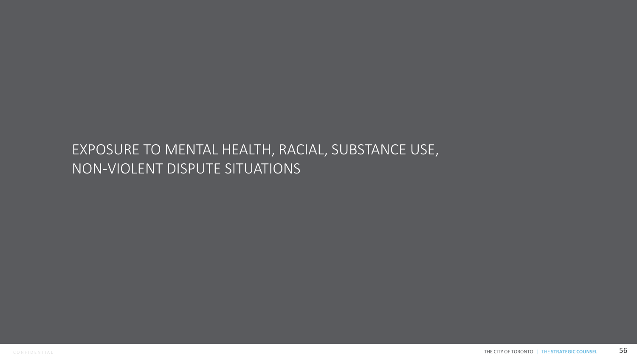## EXPOSURE TO MENTAL HEALTH, RACIAL, SUBSTANCE USE, NON-VIOLENT DISPUTE SITUATIONS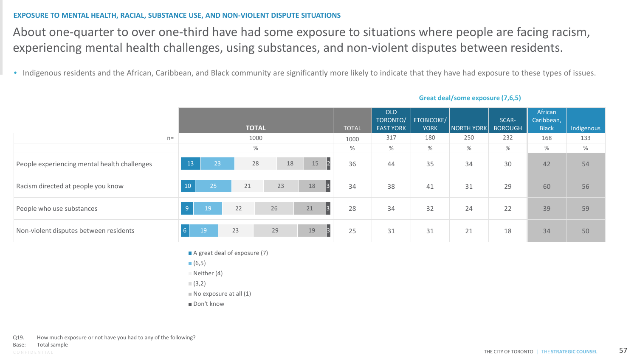### **EXPOSURE TO MENTAL HEALTH, RACIAL, SUBSTANCE USE, AND NON-VIOLENT DISPUTE SITUATIONS**

About one-quarter to over one-third have had some exposure to situations where people are facing racism, experiencing mental health challenges, using substances, and non-violent disputes between residents.

• Indigenous residents and the African, Caribbean, and Black community are significantly more likely to indicate that they have had exposure to these types of issues.

|                                              |                |    | <b>TOTAL</b> |    |                      | <b>TOTAL</b> | OLD<br>TORONTO/<br><b>EAST YORK</b> | <b>ETOBICOKE/</b><br><b>YORK</b> | NORTH YORK | SCAR-<br><b>BOROUGH</b> | African<br>Caribbean,<br><b>Black</b> | Indigenous |
|----------------------------------------------|----------------|----|--------------|----|----------------------|--------------|-------------------------------------|----------------------------------|------------|-------------------------|---------------------------------------|------------|
|                                              | $n=$           |    | 1000         |    |                      | 1000         | 317                                 | 180                              | 250        | 232                     | 168                                   | 133        |
|                                              |                |    | $\%$         |    |                      | %            | $\%$                                | $\%$                             | %          | %                       | $\%$                                  | $\%$       |
| People experiencing mental health challenges | 13             | 23 | 28           | 18 | $\overline{2}$<br>15 | 36           | 44                                  | 35                               | 34         | 30                      | 42                                    | 54         |
| Racism directed at people you know           | 10             | 25 | 21           | 23 | 3 <br>18             | 34           | 38                                  | 41                               | 31         | 29                      | 60                                    | 56         |
| People who use substances                    | 9 <sup>°</sup> | 19 | 22           | 26 | 3 <br>21             | 28           | 34                                  | 32                               | 24         | 22                      | 39                                    | 59         |
| Non-violent disputes between residents       | $6 \mid$       | 19 | 23           | 29 | $\beta$<br>19        | 25           | 31                                  | 31                               | 21         | 18                      | 34                                    | 50         |

### **Great deal/some exposure (7,6,5)**

- A great deal of exposure (7)
- $(6,5)$
- $N$ either (4)
- $(3,2)$
- $\blacksquare$  No exposure at all (1)
- Don't know

Q19. How much exposure or not have you had to any of the following?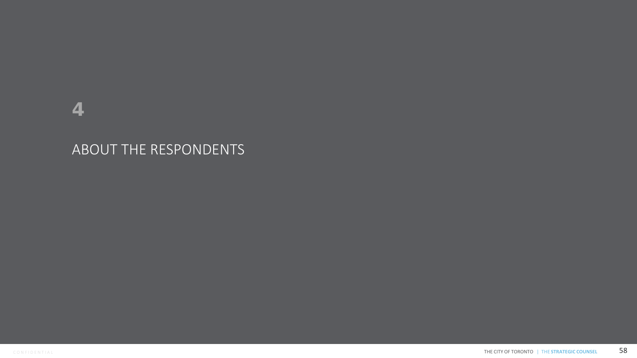## 4

## ABOUT THE RESPONDENTS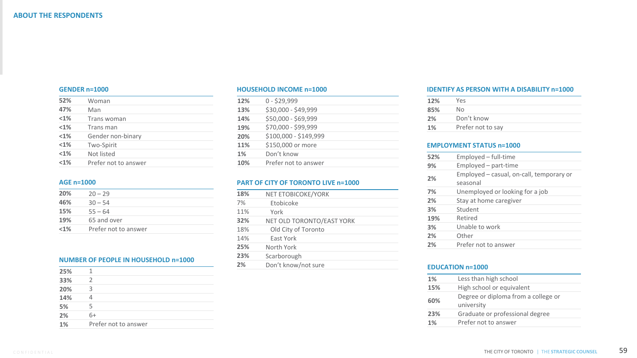#### **GENDER n=1000**

| 52%     | Woman                |
|---------|----------------------|
| 47%     | Man                  |
| $< 1\%$ | Trans woman          |
| < 1%    | Trans man            |
| $<$ 1%  | Gender non-binary    |
| $< 1\%$ | Two-Spirit           |
| $< 1\%$ | Not listed           |
| < 1%    | Prefer not to answer |
|         |                      |

### **AGE n=1000**

| 20%     | $20 - 29$            |  |
|---------|----------------------|--|
| 46%     | $30 - 54$            |  |
| 15%     | $55 - 64$            |  |
| 19%     | 65 and over          |  |
| $< 1\%$ | Prefer not to answer |  |

### **NUMBER OF PEOPLE IN HOUSEHOLD n=1000**

| 25% |                      |
|-----|----------------------|
| 33% | $\mathcal{P}$        |
| 20% | 3                    |
| 14% |                      |
| 5%  | 5                    |
| 2%  | 6+                   |
| 1%  | Prefer not to answer |
|     |                      |

#### **HOUSEHOLD INCOME n=1000**

| \$30,000 - \$49,999<br>13%<br>\$50,000 - \$69,999<br>14%<br>\$70,000 - \$99,999<br>19%<br>\$100,000 - \$149,999<br>20%<br>\$150,000 or more<br>11%<br>Don't know<br>1%<br>10%<br>Prefer not to answer | 12% | $0 - $29,999$ |
|-------------------------------------------------------------------------------------------------------------------------------------------------------------------------------------------------------|-----|---------------|
|                                                                                                                                                                                                       |     |               |
|                                                                                                                                                                                                       |     |               |
|                                                                                                                                                                                                       |     |               |
|                                                                                                                                                                                                       |     |               |
|                                                                                                                                                                                                       |     |               |
|                                                                                                                                                                                                       |     |               |
|                                                                                                                                                                                                       |     |               |

### **PART OF CITY OF TORONTO LIVE n=1000**

| 18% | NET ETOBICOKE/YORK        |
|-----|---------------------------|
| 7%  | Etobicoke                 |
| 11% | York                      |
| 32% | NET OLD TORONTO/EAST YORK |
| 18% | Old City of Toronto       |
| 14% | East York                 |
| 25% | North York                |
| 23% | Scarborough               |
| 2%  | Don't know/not sure       |

#### **IDENTIFY AS PERSON WITH A DISABILITY n=1000**

| 12% | Yes               |
|-----|-------------------|
| 85% | No                |
| 2%  | Don't know        |
| 1%  | Prefer not to say |

### **EMPLOYMENT STATUS n=1000**

| 52% | $Emploved - full-time$                               |
|-----|------------------------------------------------------|
| 9%  | Employed - part-time                                 |
| 2%  | Employed – casual, on-call, temporary or<br>seasonal |
| 7%  | Unemployed or looking for a job                      |
| 2%  | Stay at home caregiver                               |
| 3%  | Student                                              |
| 19% | Retired                                              |
| 3%  | Unable to work                                       |
| 2%  | Other                                                |
| 2%  | Prefer not to answer                                 |

### **EDUCATION n=1000**

| $1\%$ | Less than high school                             |
|-------|---------------------------------------------------|
| 15%   | High school or equivalent                         |
| 60%   | Degree or diploma from a college or<br>university |
| 23%   | Graduate or professional degree                   |
| 1%    | Prefer not to answer                              |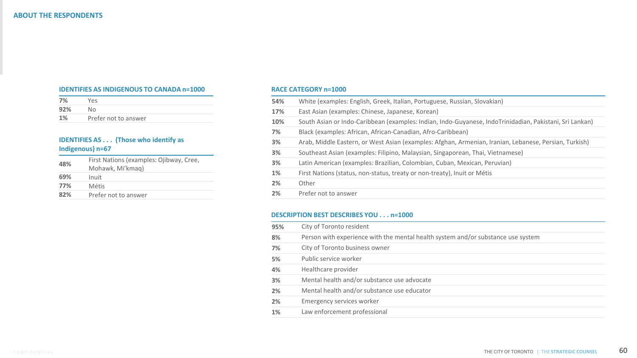#### **IDENTIFIES AS INDIGENOUS TO CANADA n=1000**

| 7%  | <b>Yes</b>           |
|-----|----------------------|
| 92% | Nο                   |
| 1%  | Prefer not to answer |

### **IDENTIFIES AS . . . (Those who identify as Indigenous) n=67**

| 48% | First Nations (examples: Ojibway, Cree,<br>Mohawk, Mi'kmag) |
|-----|-------------------------------------------------------------|
| 69% | Inuit                                                       |
| 77% | Métis                                                       |
| 82% | Prefer not to answer                                        |

#### **RACE CATEGORY n=1000**

| 54% | White (examples: English, Greek, Italian, Portuguese, Russian, Slovakian)                               |
|-----|---------------------------------------------------------------------------------------------------------|
| 17% | East Asian (examples: Chinese, Japanese, Korean)                                                        |
| 10% | South Asian or Indo-Caribbean (examples: Indian, Indo-Guyanese, IndoTrinidadian, Pakistani, Sri Lankan) |
| 7%  | Black (examples: African, African-Canadian, Afro-Caribbean)                                             |
| 3%  | Arab, Middle Eastern, or West Asian (examples: Afghan, Armenian, Iranian, Lebanese, Persian, Turkish)   |
| 3%  | Southeast Asian (examples: Filipino, Malaysian, Singaporean, Thai, Vietnamese)                          |
| 3%  | Latin American (examples: Brazilian, Colombian, Cuban, Mexican, Peruvian)                               |
| 1%  | First Nations (status, non-status, treaty or non-treaty), Inuit or Métis                                |
| 2%  | Other                                                                                                   |
| 2%  | Prefer not to answer                                                                                    |
|     |                                                                                                         |

### **DESCRIPTION BEST DESCRIBES YOU . . . n=1000**

| 95% | City of Toronto resident                                                         |
|-----|----------------------------------------------------------------------------------|
| 8%  | Person with experience with the mental health system and/or substance use system |
| 7%  | City of Toronto business owner                                                   |
| 5%  | Public service worker                                                            |
| 4%  | Healthcare provider                                                              |
| 3%  | Mental health and/or substance use advocate                                      |
| 2%  | Mental health and/or substance use educator                                      |
| 2%  | Emergency services worker                                                        |
| 1%  | Law enforcement professional                                                     |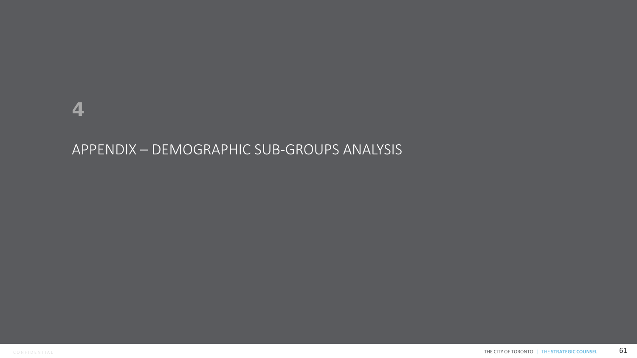### APPENDIX – DEMOGRAPHIC SUB-GROUPS ANALYSIS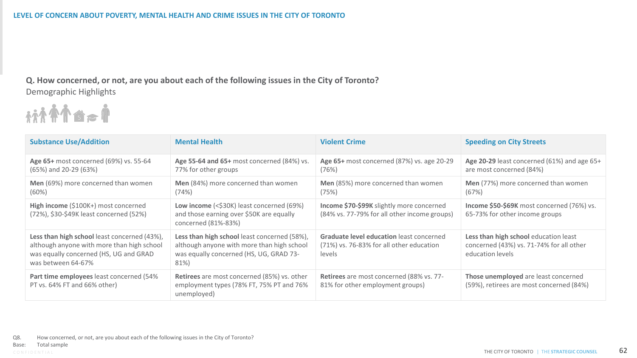**Q. How concerned, or not, are you about each of the following issues in the City of Toronto?** Demographic Highlights



| <b>Substance Use/Addition</b>                                                                                                                              | <b>Mental Health</b>                                                                                                                          | <b>Violent Crime</b>                                                                                  | <b>Speeding on City Streets</b>                                                                       |
|------------------------------------------------------------------------------------------------------------------------------------------------------------|-----------------------------------------------------------------------------------------------------------------------------------------------|-------------------------------------------------------------------------------------------------------|-------------------------------------------------------------------------------------------------------|
| Age 65+ most concerned (69%) vs. 55-64<br>$(65%)$ and 20-29 $(63%)$                                                                                        | Age 55-64 and 65+ most concerned (84%) vs.<br>77% for other groups                                                                            | Age 65+ most concerned (87%) vs. age 20-29<br>(76%)                                                   | Age 20-29 least concerned (61%) and age 65+<br>are most concerned (84%)                               |
| Men (69%) more concerned than women<br>(60%)                                                                                                               | Men (84%) more concerned than women<br>(74%)                                                                                                  | Men (85%) more concerned than women<br>(75%)                                                          | Men (77%) more concerned than women<br>(67%)                                                          |
| High income (\$100K+) most concerned<br>(72%), \$30-\$49K least concerned (52%)                                                                            | Low income (<\$30K) least concerned (69%)<br>and those earning over \$50K are equally<br>concerned (81%-83%)                                  | Income \$70-\$99K slightly more concerned<br>(84% vs. 77-79% for all other income groups)             | Income \$50-\$69K most concerned (76%) vs.<br>65-73% for other income groups                          |
| Less than high school least concerned (43%),<br>although anyone with more than high school<br>was equally concerned (HS, UG and GRAD<br>was between 64-67% | Less than high school least concerned (58%),<br>although anyone with more than high school<br>was equally concerned (HS, UG, GRAD 73-<br>81%) | <b>Graduate level education least concerned</b><br>(71%) vs. 76-83% for all other education<br>levels | Less than high school education least<br>concerned (43%) vs. 71-74% for all other<br>education levels |
| Part time employees least concerned (54%<br>PT vs. 64% FT and 66% other)                                                                                   | <b>Retirees</b> are most concerned (85%) vs. other<br>employment types (78% FT, 75% PT and 76%<br>unemployed)                                 | Retirees are most concerned (88% vs. 77-<br>81% for other employment groups)                          | Those unemployed are least concerned<br>(59%), retirees are most concerned (84%)                      |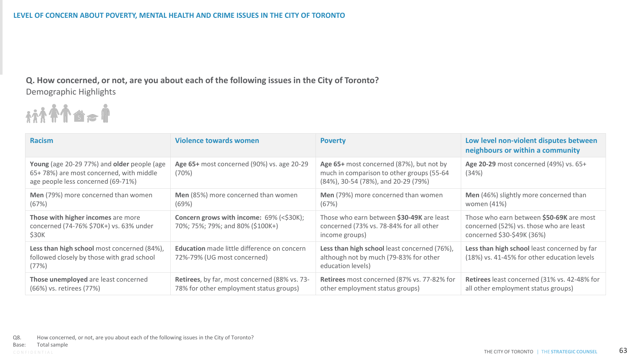**Q. How concerned, or not, are you about each of the following issues in the City of Toronto?** Demographic Highlights



| <b>Racism</b>                                                                                                                | <b>Violence towards women</b>                                                            | <b>Poverty</b>                                                                                                               | Low level non-violent disputes between<br>neighbours or within a community                                        |
|------------------------------------------------------------------------------------------------------------------------------|------------------------------------------------------------------------------------------|------------------------------------------------------------------------------------------------------------------------------|-------------------------------------------------------------------------------------------------------------------|
| Young (age 20-29 77%) and older people (age<br>65+78%) are most concerned, with middle<br>age people less concerned (69-71%) | Age 65+ most concerned (90%) vs. age 20-29<br>(70%)                                      | Age 65+ most concerned (87%), but not by<br>much in comparison to other groups (55-64<br>(84%), 30-54 (78%), and 20-29 (79%) | Age 20-29 most concerned (49%) vs. 65+<br>(34%)                                                                   |
| Men (79%) more concerned than women<br>(67%)                                                                                 | Men (85%) more concerned than women<br>(69%)                                             | Men (79%) more concerned than women<br>(67%)                                                                                 | Men (46%) slightly more concerned than<br>women (41%)                                                             |
| Those with higher incomes are more<br>concerned (74-76% \$70K+) vs. 63% under<br>\$30K                                       | Concern grows with income: 69% (<\$30K);<br>70%; 75%; 79%; and 80% (\$100K+)             | Those who earn between \$30-49K are least<br>concerned (73% vs. 78-84% for all other<br>income groups)                       | Those who earn between \$50-69K are most<br>concerned (52%) vs. those who are least<br>concerned \$30-\$49K (36%) |
| Less than high school most concerned (84%),<br>followed closely by those with grad school<br>(77%)                           | <b>Education</b> made little difference on concern<br>72%-79% (UG most concerned)        | Less than high school least concerned (76%),<br>although not by much (79-83% for other<br>education levels)                  | Less than high school least concerned by far<br>(18%) vs. 41-45% for other education levels                       |
| Those unemployed are least concerned<br>(66%) vs. retirees (77%)                                                             | Retirees, by far, most concerned (88% vs. 73-<br>78% for other employment status groups) | Retirees most concerned (87% vs. 77-82% for<br>other employment status groups)                                               | Retirees least concerned (31% vs. 42-48% for<br>all other employment status groups)                               |

Q8. How concerned, or not, are you about each of the following issues in the City of Toronto?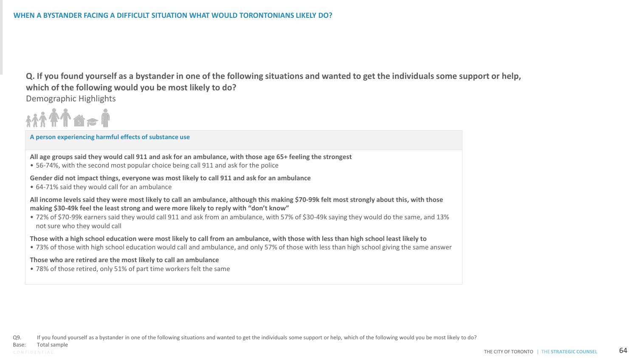**Q. If you found yourself as a bystander in one of the following situations and wanted to get the individuals some support or help, which of the following would you be most likely to do?** Demographic Highlights



### **A person experiencing harmful effects of substance use**

**All age groups said they would call 911 and ask for an ambulance, with those age 65+ feeling the strongest** 

• 56-74%, with the second most popular choice being call 911 and ask for the police

**Gender did not impact things, everyone was most likely to call 911 and ask for an ambulance** 

• 64-71% said they would call for an ambulance

**All income levels said they were most likely to call an ambulance, although this making \$70-99k felt most strongly about this, with those making \$30-49k feel the least strong and were more likely to reply with "don't know"**

• 72% of \$70-99k earners said they would call 911 and ask from an ambulance, with 57% of \$30-49k saying they would do the same, and 13% not sure who they would call

**Those with a high school education were most likely to call from an ambulance, with those with less than high school least likely to**

• 73% of those with high school education would call and ambulance, and only 57% of those with less than high school giving the same answer

**Those who are retired are the most likely to call an ambulance**

• 78% of those retired, only 51% of part time workers felt the same

Q9. If you found yourself as a bystander in one of the following situations and wanted to get the individuals some support or help, which of the following would you be most likely to do?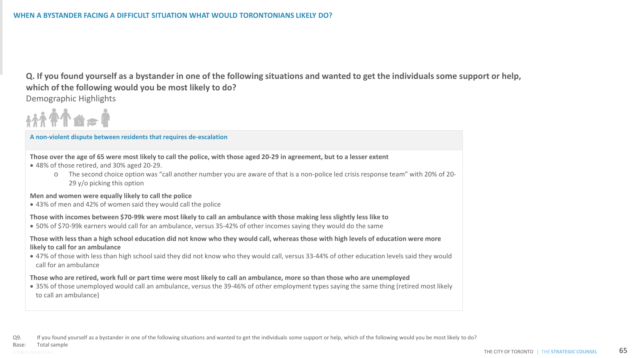**Q. If you found yourself as a bystander in one of the following situations and wanted to get the individuals some support or help, which of the following would you be most likely to do?** Demographic Highlights

### **A non-violent dispute between residents that requires de-escalation**

**Those over the age of 65 were most likely to call the police, with those aged 20-29 in agreement, but to a lesser extent** 

- 48% of those retired, and 30% aged 20-29.
	- o The second choice option was "call another number you are aware of that is a non-police led crisis response team" with 20% of 20- 29 y/o picking this option

#### **Men and women were equally likely to call the police**

• 43% of men and 42% of women said they would call the police

### **Those with incomes between \$70-99k were most likely to call an ambulance with those making less slightly less like to**

• 50% of \$70-99k earners would call for an ambulance, versus 35-42% of other incomes saying they would do the same

### **Those with less than a high school education did not know who they would call, whereas those with high levels of education were more likely to call for an ambulance**

• 47% of those with less than high school said they did not know who they would call, versus 33-44% of other education levels said they would call for an ambulance

#### **Those who are retired, work full or part time were most likely to call an ambulance, more so than those who are unemployed**

• 35% of those unemployed would call an ambulance, versus the 39-46% of other employment types saying the same thing (retired most likely to call an ambulance)

Q9. If you found yourself as a bystander in one of the following situations and wanted to get the individuals some support or help, which of the following would you be most likely to do?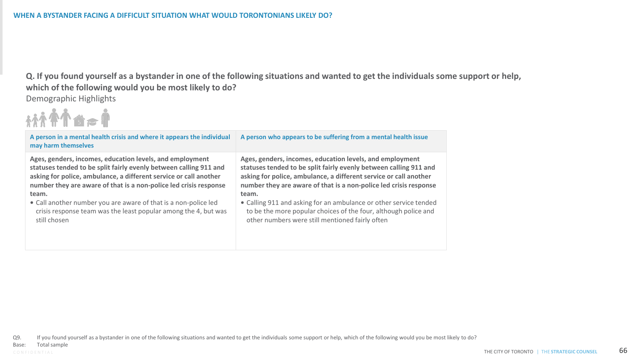**Q. If you found yourself as a bystander in one of the following situations and wanted to get the individuals some support or help, which of the following would you be most likely to do?** Demographic Highlights



| A person in a mental health crisis and where it appears the individual<br>may harm themselves | A person who appears to be suffering from a mental health issue   |
|-----------------------------------------------------------------------------------------------|-------------------------------------------------------------------|
| Ages, genders, incomes, education levels, and employment                                      | Ages, genders, incomes, education levels, and employment          |
| statuses tended to be split fairly evenly between calling 911 and                             | statuses tended to be split fairly evenly between calling 911 and |
| asking for police, ambulance, a different service or call another                             | asking for police, ambulance, a different service or call another |
| number they are aware of that is a non-police led crisis response                             | number they are aware of that is a non-police led crisis response |
| team.                                                                                         | team.                                                             |
| • Call another number you are aware of that is a non-police led                               | • Calling 911 and asking for an ambulance or other service tended |
| crisis response team was the least popular among the 4, but was                               | to be the more popular choices of the four, although police and   |
| still chosen                                                                                  | other numbers were still mentioned fairly often                   |

Q9. If you found yourself as a bystander in one of the following situations and wanted to get the individuals some support or help, which of the following would you be most likely to do?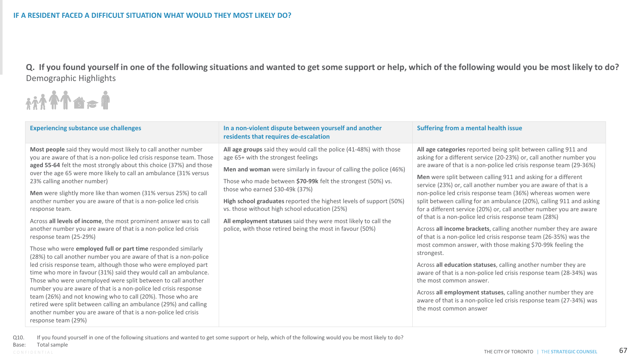**Q. If you found yourself in one of the following situations and wanted to get some support or help, which of the following would you be most likely to do?** Demographic Highlights

市会合介令杭

| <b>Experiencing substance use challenges</b>                                                                                                                                                                                                                                                                                                                                                                                                                                                                                                                                                                                                                                                                                                                                                                                                                                                                                                                                                                                                                                                                                                                                                                                                                                                  | In a non-violent dispute between yourself and another<br>residents that requires de-escalation                                                                                                                                                                                                                                                                                                                                                                                                                                            | <b>Suffering from a mental health issue</b>                                                                                                                                                                                                                                                                                                                                                                                                                                                                                                                                                                                                                                                                                                                                                                                                                                                                                                                                                                                                                                                                                                                                                      |
|-----------------------------------------------------------------------------------------------------------------------------------------------------------------------------------------------------------------------------------------------------------------------------------------------------------------------------------------------------------------------------------------------------------------------------------------------------------------------------------------------------------------------------------------------------------------------------------------------------------------------------------------------------------------------------------------------------------------------------------------------------------------------------------------------------------------------------------------------------------------------------------------------------------------------------------------------------------------------------------------------------------------------------------------------------------------------------------------------------------------------------------------------------------------------------------------------------------------------------------------------------------------------------------------------|-------------------------------------------------------------------------------------------------------------------------------------------------------------------------------------------------------------------------------------------------------------------------------------------------------------------------------------------------------------------------------------------------------------------------------------------------------------------------------------------------------------------------------------------|--------------------------------------------------------------------------------------------------------------------------------------------------------------------------------------------------------------------------------------------------------------------------------------------------------------------------------------------------------------------------------------------------------------------------------------------------------------------------------------------------------------------------------------------------------------------------------------------------------------------------------------------------------------------------------------------------------------------------------------------------------------------------------------------------------------------------------------------------------------------------------------------------------------------------------------------------------------------------------------------------------------------------------------------------------------------------------------------------------------------------------------------------------------------------------------------------|
| Most people said they would most likely to call another number<br>you are aware of that is a non-police led crisis response team. Those<br>aged 55-64 felt the most strongly about this choice (37%) and those<br>over the age 65 were more likely to call an ambulance (31% versus<br>23% calling another number)<br>Men were slightly more like than women (31% versus 25%) to call<br>another number you are aware of that is a non-police led crisis<br>response team.<br>Across all levels of income, the most prominent answer was to call<br>another number you are aware of that is a non-police led crisis<br>response team (25-29%)<br>Those who were employed full or part time responded similarly<br>(28%) to call another number you are aware of that is a non-police<br>led crisis response team, although those who were employed part<br>time who more in favour (31%) said they would call an ambulance.<br>Those who were unemployed were split between to call another<br>number you are aware of that is a non-police led crisis response<br>team (26%) and not knowing who to call (20%). Those who are<br>retired were split between calling an ambulance (29%) and calling<br>another number you are aware of that is a non-police led crisis<br>response team (29%) | All age groups said they would call the police (41-48%) with those<br>age 65+ with the strongest feelings<br>Men and woman were similarly in favour of calling the police (46%)<br>Those who made between \$70-99k felt the strongest (50%) vs.<br>those who earned $$30-49k$ (37%)<br>High school graduates reported the highest levels of support (50%)<br>vs. those without high school education (25%)<br>All employment statuses said they were most likely to call the<br>police, with those retired being the most in favour (50%) | All age categories reported being split between calling 911 and<br>asking for a different service (20-23%) or, call another number you<br>are aware of that is a non-police led crisis response team (29-36%)<br><b>Men</b> were split between calling 911 and asking for a different<br>service (23%) or, call another number you are aware of that is a<br>non-police led crisis response team (36%) whereas women were<br>split between calling for an ambulance (20%), calling 911 and asking<br>for a different service (20%) or, call another number you are aware<br>of that is a non-police led crisis response team (28%)<br>Across all income brackets, calling another number they are aware<br>of that is a non-police led crisis response team (26-35%) was the<br>most common answer, with those making \$70-99k feeling the<br>strongest.<br>Across all education statuses, calling another number they are<br>aware of that is a non-police led crisis response team (28-34%) was<br>the most common answer.<br>Across all employment statuses, calling another number they are<br>aware of that is a non-police led crisis response team (27-34%) was<br>the most common answer |

Q10. If you found yourself in one of the following situations and wanted to get some support or help, which of the following would you be most likely to do?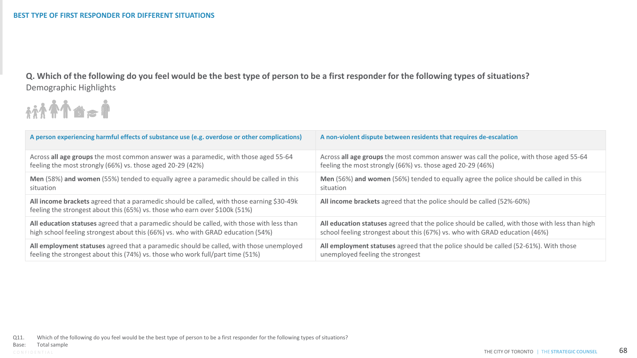**Q. Which of the following do you feel would be the best type of person to be a first responder for the following types of situations?** Demographic Highlights



| A person experiencing harmful effects of substance use (e.g. overdose or other complications)                                                                            | A non-violent dispute between residents that requires de-escalation                            |
|--------------------------------------------------------------------------------------------------------------------------------------------------------------------------|------------------------------------------------------------------------------------------------|
| Across all age groups the most common answer was a paramedic, with those aged 55-64                                                                                      | Across all age groups the most common answer was call the police, with those aged 55-64        |
| feeling the most strongly (66%) vs. those aged 20-29 (42%)                                                                                                               | feeling the most strongly (66%) vs. those aged 20-29 (46%)                                     |
| Men (58%) and women (55%) tended to equally agree a paramedic should be called in this                                                                                   | Men (56%) and women (56%) tended to equally agree the police should be called in this          |
| situation                                                                                                                                                                | situation                                                                                      |
| All income brackets agreed that a paramedic should be called, with those earning \$30-49k<br>feeling the strongest about this (65%) vs. those who earn over \$100k (51%) | All income brackets agreed that the police should be called (52%-60%)                          |
| All education statuses agreed that a paramedic should be called, with those with less than                                                                               | All education statuses agreed that the police should be called, with those with less than high |
| high school feeling strongest about this (66%) vs. who with GRAD education (54%)                                                                                         | school feeling strongest about this (67%) vs. who with GRAD education (46%)                    |
| All employment statuses agreed that a paramedic should be called, with those unemployed                                                                                  | All employment statuses agreed that the police should be called (52-61%). With those           |
| feeling the strongest about this (74%) vs. those who work full/part time (51%)                                                                                           | unemployed feeling the strongest                                                               |

Q11. Which of the following do you feel would be the best type of person to be a first responder for the following types of situations?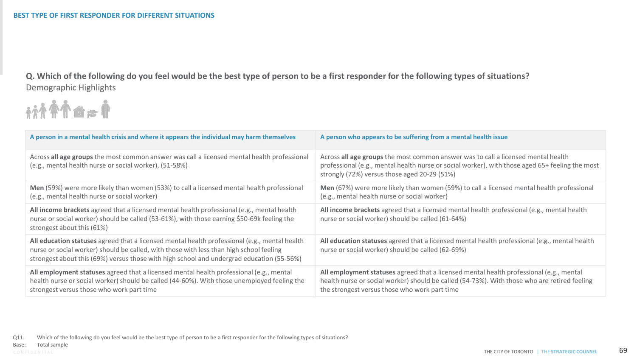**Q. Which of the following do you feel would be the best type of person to be a first responder for the following types of situations?** Demographic Highlights



| A person in a mental health crisis and where it appears the individual may harm themselves                                                                                                                                                                                            | A person who appears to be suffering from a mental health issue                                                                                                                                                                          |
|---------------------------------------------------------------------------------------------------------------------------------------------------------------------------------------------------------------------------------------------------------------------------------------|------------------------------------------------------------------------------------------------------------------------------------------------------------------------------------------------------------------------------------------|
| Across all age groups the most common answer was call a licensed mental health professional<br>(e.g., mental health nurse or social worker), (51-58%)                                                                                                                                 | Across all age groups the most common answer was to call a licensed mental health<br>professional (e.g., mental health nurse or social worker), with those aged 65+ feeling the most<br>strongly (72%) versus those aged 20-29 (51%)     |
| Men (59%) were more likely than women (53%) to call a licensed mental health professional<br>(e.g., mental health nurse or social worker)                                                                                                                                             | Men (67%) were more likely than women (59%) to call a licensed mental health professional<br>(e.g., mental health nurse or social worker)                                                                                                |
| All income brackets agreed that a licensed mental health professional (e.g., mental health<br>nurse or social worker) should be called (53-61%), with those earning \$50-69k feeling the<br>strongest about this (61%)                                                                | All income brackets agreed that a licensed mental health professional (e.g., mental health<br>nurse or social worker) should be called (61-64%)                                                                                          |
| All education statuses agreed that a licensed mental health professional (e.g., mental health<br>nurse or social worker) should be called, with those with less than high school feeling<br>strongest about this (69%) versus those with high school and undergrad education (55-56%) | All education statuses agreed that a licensed mental health professional (e.g., mental health<br>nurse or social worker) should be called (62-69%)                                                                                       |
| All employment statuses agreed that a licensed mental health professional (e.g., mental<br>health nurse or social worker) should be called (44-60%). With those unemployed feeling the<br>strongest versus those who work part time                                                   | All employment statuses agreed that a licensed mental health professional (e.g., mental<br>health nurse or social worker) should be called (54-73%). With those who are retired feeling<br>the strongest versus those who work part time |

Base: Total sample **Contract of the STRATEGIC COUNSEL 69**<br>CONFIDENTIAL **THE STRATEGIC COUNSEL 69** Q11. Which of the following do you feel would be the best type of person to be a first responder for the following types of situations? Total sample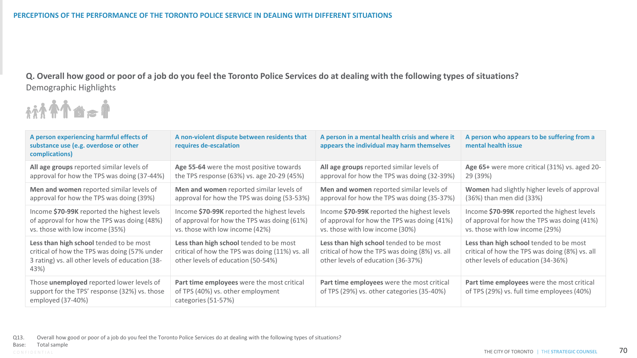**Q. Overall how good or poor of a job do you feel the Toronto Police Services do at dealing with the following types of situations?** Demographic Highlights



| A person experiencing harmful effects of<br>substance use (e.g. overdose or other<br>complications)                                                 | A non-violent dispute between residents that<br>requires de-escalation                                                           | A person in a mental health crisis and where it<br>appears the individual may harm themselves                                   | A person who appears to be suffering from a<br>mental health issue                                                              |
|-----------------------------------------------------------------------------------------------------------------------------------------------------|----------------------------------------------------------------------------------------------------------------------------------|---------------------------------------------------------------------------------------------------------------------------------|---------------------------------------------------------------------------------------------------------------------------------|
| All age groups reported similar levels of                                                                                                           | Age 55-64 were the most positive towards                                                                                         | All age groups reported similar levels of                                                                                       | Age 65+ were more critical (31%) vs. aged 20-                                                                                   |
| approval for how the TPS was doing (37-44%)                                                                                                         | the TPS response (63%) vs. age 20-29 (45%)                                                                                       | approval for how the TPS was doing (32-39%)                                                                                     | 29 (39%)                                                                                                                        |
| Men and women reported similar levels of                                                                                                            | Men and women reported similar levels of                                                                                         | Men and women reported similar levels of                                                                                        | Women had slightly higher levels of approval                                                                                    |
| approval for how the TPS was doing (39%)                                                                                                            | approval for how the TPS was doing (53-53%)                                                                                      | approval for how the TPS was doing (35-37%)                                                                                     | (36%) than men did (33%)                                                                                                        |
| Income \$70-99K reported the highest levels                                                                                                         | Income \$70-99K reported the highest levels                                                                                      | Income \$70-99K reported the highest levels                                                                                     | Income \$70-99K reported the highest levels                                                                                     |
| of approval for how the TPS was doing (48%)                                                                                                         | of approval for how the TPS was doing (61%)                                                                                      | of approval for how the TPS was doing (41%)                                                                                     | of approval for how the TPS was doing (41%)                                                                                     |
| vs. those with low income (35%)                                                                                                                     | vs. those with low income (42%)                                                                                                  | vs. those with low income (30%)                                                                                                 | vs. those with low income (29%)                                                                                                 |
| Less than high school tended to be most<br>critical of how the TPS was doing (57% under<br>3 rating) vs. all other levels of education (38-<br>43%) | Less than high school tended to be most<br>critical of how the TPS was doing (11%) vs. all<br>other levels of education (50-54%) | Less than high school tended to be most<br>critical of how the TPS was doing (8%) vs. all<br>other levels of education (36-37%) | Less than high school tended to be most<br>critical of how the TPS was doing (8%) vs. all<br>other levels of education (34-36%) |
| Those unemployed reported lower levels of<br>support for the TPS' response (32%) vs. those<br>employed (37-40%)                                     | Part time employees were the most critical<br>of TPS (40%) vs. other employment<br>categories (51-57%)                           | Part time employees were the most critical<br>of TPS (29%) vs. other categories (35-40%)                                        | Part time employees were the most critical<br>of TPS (29%) vs. full time employees (40%)                                        |

Q13. Overall how good or poor of a job do you feel the Toronto Police Services do at dealing with the following types of situations?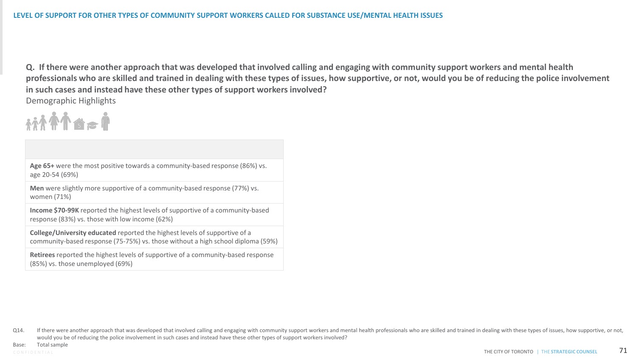**Q. If there were another approach that was developed that involved calling and engaging with community support workers and mental health professionals who are skilled and trained in dealing with these types of issues, how supportive, or not, would you be of reducing the police involvement in such cases and instead have these other types of support workers involved?** Demographic Highlights

# itit fra f

**Age 65+** were the most positive towards a community-based response (86%) vs. age 20-54 (69%)

**Men** were slightly more supportive of a community-based response (77%) vs. women (71%)

**Income \$70-99K** reported the highest levels of supportive of a community-based response (83%) vs. those with low income (62%)

**College/University educated** reported the highest levels of supportive of a community-based response (75-75%) vs. those without a high school diploma (59%)

**Retirees** reported the highest levels of supportive of a community-based response (85%) vs. those unemployed (69%)

Q14. If there were another approach that was developed that involved calling and engaging with community support workers and mental health professionals who are skilled and trained in dealing with these types of issues, ho would you be of reducing the police involvement in such cases and instead have these other types of support workers involved?